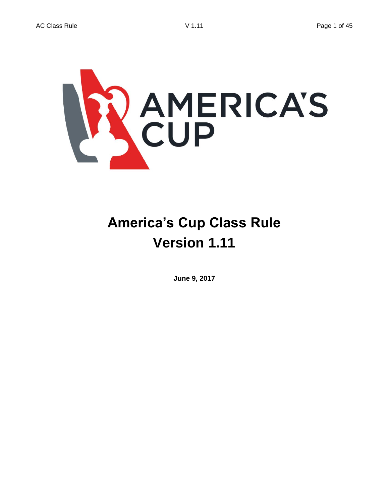

# **America's Cup Class Rule Version 1.11**

**June 9, 2017**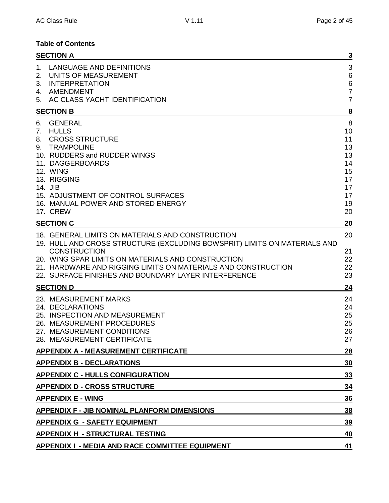# **Table of Contents**

|                               | <b>SECTION A</b>                                                                                                                                                                                                                                                                                                                    | <u>3</u>                                                            |
|-------------------------------|-------------------------------------------------------------------------------------------------------------------------------------------------------------------------------------------------------------------------------------------------------------------------------------------------------------------------------------|---------------------------------------------------------------------|
| $1_{-}$<br>2.<br>3.<br>4.     | LANGUAGE AND DEFINITIONS<br>UNITS OF MEASUREMENT<br><b>INTERPRETATION</b><br>AMENDMENT<br>5. AC CLASS YACHT IDENTIFICATION                                                                                                                                                                                                          | 3<br>$\,6$<br>$\,6$<br>$\overline{7}$<br>$\overline{7}$             |
|                               | <b>SECTION B</b>                                                                                                                                                                                                                                                                                                                    | $\overline{\mathbf{8}}$                                             |
| 6.<br>$7_{\cdot}$<br>8.<br>9. | <b>GENERAL</b><br><b>HULLS</b><br><b>CROSS STRUCTURE</b><br><b>TRAMPOLINE</b><br>10. RUDDERS and RUDDER WINGS<br>11. DAGGERBOARDS<br>12. WING<br>13. RIGGING<br>14. JIB<br>15. ADJUSTMENT OF CONTROL SURFACES<br>16. MANUAL POWER AND STORED ENERGY<br>17. CREW                                                                     | 8<br>10<br>11<br>13<br>13<br>14<br>15<br>17<br>17<br>17<br>19<br>20 |
|                               | <b>SECTION C</b>                                                                                                                                                                                                                                                                                                                    | 20                                                                  |
|                               | 18. GENERAL LIMITS ON MATERIALS AND CONSTRUCTION<br>19. HULL AND CROSS STRUCTURE (EXCLUDING BOWSPRIT) LIMITS ON MATERIALS AND<br><b>CONSTRUCTION</b><br>20. WING SPAR LIMITS ON MATERIALS AND CONSTRUCTION<br>21. HARDWARE AND RIGGING LIMITS ON MATERIALS AND CONSTRUCTION<br>22. SURFACE FINISHES AND BOUNDARY LAYER INTERFERENCE | 20<br>21<br>22<br>22<br>23                                          |
|                               | <b>SECTION D</b>                                                                                                                                                                                                                                                                                                                    | 24                                                                  |
|                               | 23. MEASUREMENT MARKS<br>24. DECLARATIONS<br>25. INSPECTION AND MEASUREMENT<br>26. MEASUREMENT PROCEDURES<br>27. MEASUREMENT CONDITIONS<br>28. MEASUREMENT CERTIFICATE                                                                                                                                                              | 24<br>24<br>25<br>25<br>26<br>27                                    |
|                               | <b>APPENDIX A - MEASUREMENT CERTIFICATE</b>                                                                                                                                                                                                                                                                                         | <b>28</b>                                                           |
|                               | <b>APPENDIX B - DECLARATIONS</b>                                                                                                                                                                                                                                                                                                    | <u>30</u>                                                           |
|                               | <b>APPENDIX C - HULLS CONFIGURATION</b>                                                                                                                                                                                                                                                                                             | 33                                                                  |
|                               | <b>APPENDIX D - CROSS STRUCTURE</b>                                                                                                                                                                                                                                                                                                 | 34                                                                  |
|                               | <b>APPENDIX E - WING</b>                                                                                                                                                                                                                                                                                                            | 36                                                                  |
|                               | APPENDIX F - JIB NOMINAL PLANFORM DIMENSIONS<br>38                                                                                                                                                                                                                                                                                  |                                                                     |
|                               | <b>APPENDIX G - SAFETY EQUIPMENT</b>                                                                                                                                                                                                                                                                                                | 39                                                                  |
|                               | <b>APPENDIX H - STRUCTURAL TESTING</b>                                                                                                                                                                                                                                                                                              | 40                                                                  |
|                               | <b>APPENDIX I - MEDIA AND RACE COMMITTEE EQUIPMENT</b>                                                                                                                                                                                                                                                                              | 41                                                                  |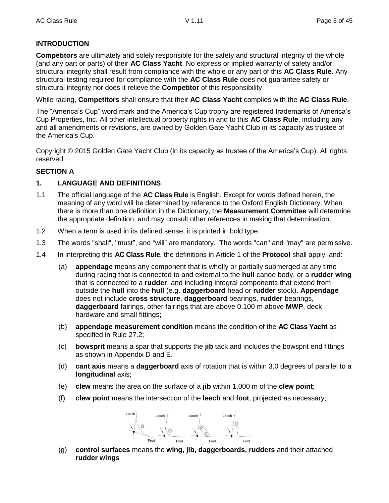# **INTRODUCTION**

**Competitors** are ultimately and solely responsible for the safety and structural integrity of the whole (and any part or parts) of their **AC Class Yacht**. No express or implied warranty of safety and/or structural integrity shall result from compliance with the whole or any part of this **AC Class Rule**. Any structural testing required for compliance with the **AC Class Rule** does not guarantee safety or structural integrity nor does it relieve the **Competitor** of this responsibility

While racing, **Competitors** shall ensure that their **AC Class Yacht** complies with the **AC Class Rule**.

The "America's Cup" word mark and the America's Cup trophy are registered trademarks of America's Cup Properties, Inc. All other intellectual property rights in and to this **AC Class Rule**, including any and all amendments or revisions, are owned by Golden Gate Yacht Club in its capacity as trustee of the America's Cup.

Copyright © 2015 Golden Gate Yacht Club (in its capacity as trustee of the America's Cup). All rights reserved.

# **SECTION A**

# **1. LANGUAGE AND DEFINITIONS**

- 1.1 The official language of the **AC Class Rule** is English. Except for words defined herein, the meaning of any word will be determined by reference to the Oxford English Dictionary. When there is more than one definition in the Dictionary, the **Measurement Committee** will determine the appropriate definition, and may consult other references in making that determination.
- 1.2 When a term is used in its defined sense, it is printed in bold type.
- 1.3 The words "shall", "must", and "will" are mandatory. The words "can" and "may" are permissive.
- 1.4 In interpreting this **AC Class Rule**, the definitions in Article 1 of the **Protocol** shall apply, and:
	- (a) **appendage** means any component that is wholly or partially submerged at any time during racing that is connected to and external to the **hull** canoe body, or a **rudder wing** that is connected to a **rudder**, and including integral components that extend from outside the **hull** into the **hull** (e.g. **daggerboard** head or **rudder** stock). **Appendage** does not include **cross structure**, **daggerboard** bearings, **rudder** bearings, **daggerboard** fairings, other fairings that are above 0.100 m above **MWP**, deck hardware and small fittings;
	- (b) **appendage measurement condition** means the condition of the **AC Class Yacht** as specified in Rule 27.2;
	- (c) **bowsprit** means a spar that supports the **jib** tack and includes the bowsprit end fittings as shown in Appendix D and E.
	- (d) **cant axis** means a **daggerboard** axis of rotation that is within 3.0 degrees of parallel to a **longitudinal** axis;
	- (e) **clew** means the area on the surface of a **jib** within 1.000 m of the **clew point**;
	- (f) **clew point** means the intersection of the **leech** and **foot**, projected as necessary;



(g) **control surfaces** means the **wing, jib, daggerboards, rudders** and their attached **rudder wings**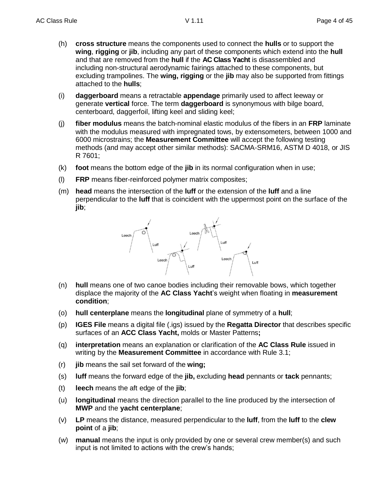- (h) **cross structure** means the components used to connect the **hulls** or to support the **wing**, **rigging** or **jib**, including any part of these components which extend into the **hull** and that are removed from the **hull** if the **AC Class Yacht** is disassembled and including non-structural aerodynamic fairings attached to these components, but excluding trampolines. The **wing, rigging** or the **jib** may also be supported from fittings attached to the **hulls**;
- (i) **daggerboard** means a retractable **appendage** primarily used to affect leeway or generate **vertical** force. The term **daggerboard** is synonymous with bilge board, centerboard, daggerfoil, lifting keel and sliding keel;
- (j) **fiber modulus** means the batch-nominal elastic modulus of the fibers in an **FRP** laminate with the modulus measured with impregnated tows, by extensometers, between 1000 and 6000 microstrains; the **Measurement Committee** will accept the following testing methods (and may accept other similar methods): SACMA-SRM16, ASTM D 4018, or JIS R 7601;
- (k) **foot** means the bottom edge of the **jib** in its normal configuration when in use;
- (l) **FRP** means fiber-reinforced polymer matrix composites;
- (m) **head** means the intersection of the **luff** or the extension of the **luff** and a line perpendicular to the **luff** that is coincident with the uppermost point on the surface of the **jib**;



- (n) **hull** means one of two canoe bodies including their removable bows, which together displace the majority of the **AC Class Yacht**'s weight when floating in **measurement condition**;
- (o) **hull centerplane** means the **longitudinal** plane of symmetry of a **hull**;
- (p) **IGES File** means a digital file (.igs) issued by the **Regatta Director** that describes specific surfaces of an **ACC Class Yacht,** molds or Master Patterns**;**
- (q) **interpretation** means an explanation or clarification of the **AC Class Rule** issued in writing by the **Measurement Committee** in accordance with Rule 3.1;
- (r) **jib** means the sail set forward of the **wing;**
- (s) **luff** means the forward edge of the **jib,** excluding **head** pennants or **tack** pennants;
- (t) **leech** means the aft edge of the **jib**;
- (u) **longitudinal** means the direction parallel to the line produced by the intersection of **MWP** and the **yacht centerplane**;
- (v) **LP** means the distance, measured perpendicular to the **luff**, from the **luff** to the **clew point** of a **jib**;
- (w) **manual** means the input is only provided by one or several crew member(s) and such input is not limited to actions with the crew's hands;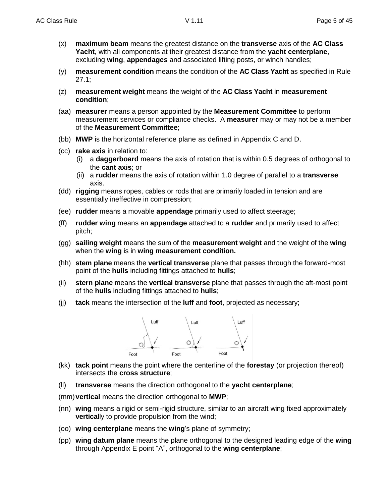- (x) **maximum beam** means the greatest distance on the **transverse** axis of the **AC Class Yacht**, with all components at their greatest distance from the **yacht centerplane**, excluding **wing**, **appendages** and associated lifting posts, or winch handles;
- (y) **measurement condition** means the condition of the **AC Class Yacht** as specified in Rule 27.1;
- (z) **measurement weight** means the weight of the **AC Class Yacht** in **measurement condition**;
- (aa) **measurer** means a person appointed by the **Measurement Committee** to perform measurement services or compliance checks. A **measurer** may or may not be a member of the **Measurement Committee**;
- (bb) **MWP** is the horizontal reference plane as defined in Appendix C and D.
- (cc) **rake axis** in relation to:
	- (i) a **daggerboard** means the axis of rotation that is within 0.5 degrees of orthogonal to the **cant axis**; or
	- (ii) a **rudder** means the axis of rotation within 1.0 degree of parallel to a **transverse** axis.
- (dd) **rigging** means ropes, cables or rods that are primarily loaded in tension and are essentially ineffective in compression;
- (ee) **rudder** means a movable **appendage** primarily used to affect steerage;
- (ff) **rudder wing** means an **appendage** attached to a **rudder** and primarily used to affect pitch;
- (gg) **sailing weight** means the sum of the **measurement weight** and the weight of the **wing** when the **wing** is in **wing measurement condition.**
- (hh) **stem plane** means the **vertical transverse** plane that passes through the forward-most point of the **hulls** including fittings attached to **hulls**;
- (ii) **stern plane** means the **vertical transverse** plane that passes through the aft-most point of the **hulls** including fittings attached to **hulls**;
- (jj) **tack** means the intersection of the **luff** and **foot**, projected as necessary;



- (kk) **tack point** means the point where the centerline of the **forestay** (or projection thereof) intersects the **cross structure**;
- (ll) **transverse** means the direction orthogonal to the **yacht centerplane**;
- (mm)**vertical** means the direction orthogonal to **MWP**;
- (nn) **wing** means a rigid or semi-rigid structure, similar to an aircraft wing fixed approximately **vertically** to provide propulsion from the wind;
- (oo) **wing centerplane** means the **wing**'s plane of symmetry;
- (pp) **wing datum plane** means the plane orthogonal to the designed leading edge of the **wing** through Appendix E point "A", orthogonal to the **wing centerplane**;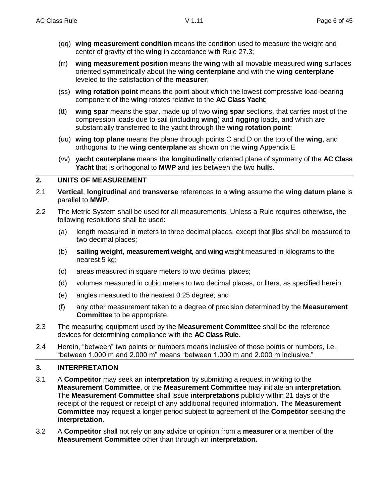- (qq) **wing measurement condition** means the condition used to measure the weight and center of gravity of the **wing** in accordance with Rule 27.3;
- (rr) **wing measurement position** means the **wing** with all movable measured **wing** surfaces oriented symmetrically about the **wing centerplane** and with the **wing centerplane** leveled to the satisfaction of the **measurer**;
- (ss) **wing rotation point** means the point about which the lowest compressive load-bearing component of the **wing** rotates relative to the **AC Class Yacht**;
- (tt) **wing spar** means the spar, made up of two **wing spar** sections, that carries most of the compression loads due to sail (including **wing**) and **rigging** loads, and which are substantially transferred to the yacht through the **wing rotation point**;
- (uu) **wing top plane** means the plane through points C and D on the top of the **wing**, and orthogonal to the **wing centerplane** as shown on the **wing** Appendix E
- (vv) **yacht centerplane** means the **longitudinal**ly oriented plane of symmetry of the **AC Class Yacht** that is orthogonal to **MWP** and lies between the two **hull**s.

# **2. UNITS OF MEASUREMENT**

- 2.1 **Vertical**, **longitudinal** and **transverse** references to a **wing** assume the **wing datum plane** is parallel to **MWP**.
- 2.2 The Metric System shall be used for all measurements. Unless a Rule requires otherwise, the following resolutions shall be used:
	- (a) length measured in meters to three decimal places, except that **jib**s shall be measured to two decimal places;
	- (b) **sailing weight**, **measurement weight,** and **wing** weight measured in kilograms to the nearest 5 kg;
	- (c) areas measured in square meters to two decimal places;
	- (d) volumes measured in cubic meters to two decimal places, or liters, as specified herein;
	- (e) angles measured to the nearest 0.25 degree; and
	- (f) any other measurement taken to a degree of precision determined by the **Measurement Committee** to be appropriate.
- 2.3 The measuring equipment used by the **Measurement Committee** shall be the reference devices for determining compliance with the **AC Class Rule**.
- 2.4 Herein, "between" two points or numbers means inclusive of those points or numbers, i.e., "between 1.000 m and 2.000 m" means "between 1.000 m and 2.000 m inclusive."

# **3. INTERPRETATION**

- 3.1 A **Competitor** may seek an **interpretation** by submitting a request in writing to the **Measurement Committee**, or the **Measurement Committee** may initiate an **interpretation**. The **Measurement Committee** shall issue **interpretations** publicly within 21 days of the receipt of the request or receipt of any additional required information. The **Measurement Committee** may request a longer period subject to agreement of the **Competitor** seeking the **interpretation**.
- 3.2 A **Competitor** shall not rely on any advice or opinion from a **measurer** or a member of the **Measurement Committee** other than through an **interpretation.**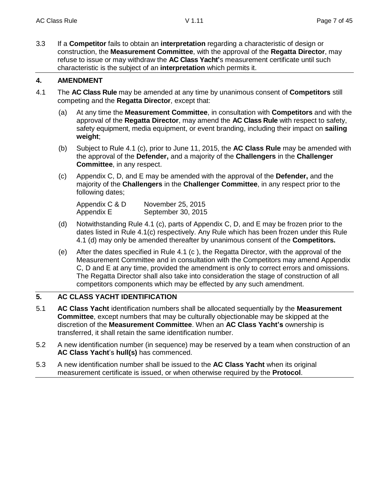3.3 If a **Competitor** fails to obtain an **interpretation** regarding a characteristic of design or construction, the **Measurement Committee**, with the approval of the **Regatta Director**, may refuse to issue or may withdraw the **AC Class Yacht'**s measurement certificate until such characteristic is the subject of an **interpretation** which permits it.

# **4. AMENDMENT**

- 4.1 The **AC Class Rule** may be amended at any time by unanimous consent of **Competitors** still competing and the **Regatta Director**, except that:
	- (a) At any time the **Measurement Committee**, in consultation with **Competitors** and with the approval of the **Regatta Director**, may amend the **AC Class Rule** with respect to safety, safety equipment, media equipment, or event branding, including their impact on **sailing weight**;
	- (b) Subject to Rule 4.1 (c), prior to June 11, 2015, the **AC Class Rule** may be amended with the approval of the **Defender,** and a majority of the **Challengers** in the **Challenger Committee**, in any respect.
	- (c) Appendix C, D, and E may be amended with the approval of the **Defender,** and the majority of the **Challengers** in the **Challenger Committee**, in any respect prior to the following dates;

| Appendix C & D | November 25, 2015  |
|----------------|--------------------|
| Appendix E     | September 30, 2015 |

- (d) Notwithstanding Rule 4.1 (c), parts of Appendix C, D, and E may be frozen prior to the dates listed in Rule 4.1(c) respectively. Any Rule which has been frozen under this Rule 4.1 (d) may only be amended thereafter by unanimous consent of the **Competitors.**
- (e) After the dates specified in Rule 4.1 (c ), the Regatta Director, with the approval of the Measurement Committee and in consultation with the Competitors may amend Appendix C, D and E at any time, provided the amendment is only to correct errors and omissions. The Regatta Director shall also take into consideration the stage of construction of all competitors components which may be effected by any such amendment.

# **5. AC CLASS YACHT IDENTIFICATION**

- 5.1 **AC Class Yacht** identification numbers shall be allocated sequentially by the **Measurement Committee**, except numbers that may be culturally objectionable may be skipped at the discretion of the **Measurement Committee**. When an **AC Class Yacht's** ownership is transferred, it shall retain the same identification number.
- 5.2 A new identification number (in sequence) may be reserved by a team when construction of an **AC Class Yacht**'s **hull(s)** has commenced.
- 5.3 A new identification number shall be issued to the **AC Class Yacht** when its original measurement certificate is issued, or when otherwise required by the **Protocol**.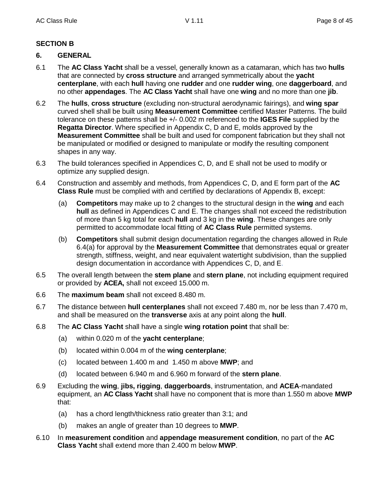# **SECTION B**

# **6. GENERAL**

- 6.1 The **AC Class Yacht** shall be a vessel, generally known as a catamaran, which has two **hulls** that are connected by **cross structure** and arranged symmetrically about the **yacht centerplane**, with each **hull** having one **rudder** and one **rudder wing**, one **daggerboard**, and no other **appendages**. The **AC Class Yacht** shall have one **wing** and no more than one **jib**.
- 6.2 The **hulls**, **cross structure** (excluding non-structural aerodynamic fairings), and **wing spar** curved shell shall be built using **Measurement Committee** certified Master Patterns. The build tolerance on these patterns shall be +/- 0.002 m referenced to the **IGES File** supplied by the **Regatta Director**. Where specified in Appendix C, D and E, molds approved by the **Measurement Committee** shall be built and used for component fabrication but they shall not be manipulated or modified or designed to manipulate or modify the resulting component shapes in any way.
- 6.3 The build tolerances specified in Appendices C, D, and E shall not be used to modify or optimize any supplied design.
- 6.4 Construction and assembly and methods, from Appendices C, D, and E form part of the **AC Class Rule** must be complied with and certified by declarations of Appendix B, except:
	- (a) **Competitors** may make up to 2 changes to the structural design in the **wing** and each **hull** as defined in Appendices C and E. The changes shall not exceed the redistribution of more than 5 kg total for each **hull** and 3 kg in the **wing**. These changes are only permitted to accommodate local fitting of **AC Class Rule** permitted systems.
	- (b) **Competitors** shall submit design documentation regarding the changes allowed in Rule 6.4(a) for approval by the **Measurement Committee** that demonstrates equal or greater strength, stiffness, weight, and near equivalent watertight subdivision, than the supplied design documentation in accordance with Appendices C, D, and E.
- 6.5 The overall length between the **stem plane** and **stern plane**, not including equipment required or provided by **ACEA,** shall not exceed 15.000 m.
- 6.6 The **maximum beam** shall not exceed 8.480 m.
- 6.7 The distance between **hull centerplanes** shall not exceed 7.480 m, nor be less than 7.470 m, and shall be measured on the **transverse** axis at any point along the **hull**.
- 6.8 The **AC Class Yacht** shall have a single **wing rotation point** that shall be:
	- (a) within 0.020 m of the **yacht centerplane**;
	- (b) located within 0.004 m of the **wing centerplane**;
	- (c) located between 1.400 m and 1.450 m above **MWP**; and
	- (d) located between 6.940 m and 6.960 m forward of the **stern plane**.
- 6.9 Excluding the **wing**, **jibs, rigging**, **daggerboards**, instrumentation, and **ACEA**-mandated equipment, an **AC Class Yacht** shall have no component that is more than 1.550 m above **MWP** that:
	- (a) has a chord length/thickness ratio greater than 3:1; and
	- (b) makes an angle of greater than 10 degrees to **MWP**.
- 6.10 In **measurement condition** and **appendage measurement condition**, no part of the **AC Class Yacht** shall extend more than 2.400 m below **MWP**.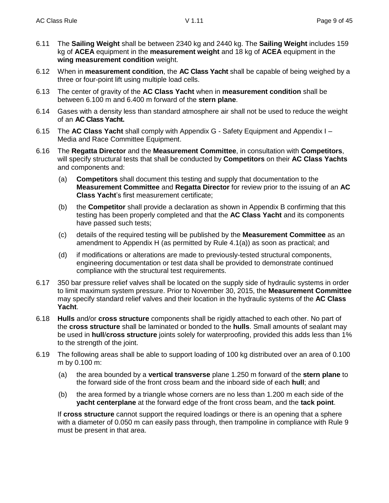- 6.11 The **Sailing Weight** shall be between 2340 kg and 2440 kg. The **Sailing Weight** includes 159 kg of **ACEA** equipment in the **measurement weight** and 18 kg of **ACEA** equipment in the **wing measurement condition** weight.
- 6.12 When in **measurement condition**, the **AC Class Yacht** shall be capable of being weighed by a three or four-point lift using multiple load cells.
- 6.13 The center of gravity of the **AC Class Yacht** when in **measurement condition** shall be between 6.100 m and 6.400 m forward of the **stern plane**.
- 6.14 Gases with a density less than standard atmosphere air shall not be used to reduce the weight of an **AC Class Yacht.**
- 6.15 The **AC Class Yacht** shall comply with Appendix G Safety Equipment and Appendix I Media and Race Committee Equipment.
- 6.16 The **Regatta Director** and the **Measurement Committee**, in consultation with **Competitors**, will specify structural tests that shall be conducted by **Competitors** on their **AC Class Yachts** and components and:
	- (a) **Competitors** shall document this testing and supply that documentation to the **Measurement Committee** and **Regatta Director** for review prior to the issuing of an **AC Class Yacht**'s first measurement certificate;
	- (b) the **Competitor** shall provide a declaration as shown in Appendix B confirming that this testing has been properly completed and that the **AC Class Yacht** and its components have passed such tests;
	- (c) details of the required testing will be published by the **Measurement Committee** as an amendment to Appendix H (as permitted by Rule 4.1(a)) as soon as practical; and
	- (d) if modifications or alterations are made to previously-tested structural components, engineering documentation or test data shall be provided to demonstrate continued compliance with the structural test requirements.
- 6.17 350 bar pressure relief valves shall be located on the supply side of hydraulic systems in order to limit maximum system pressure. Prior to November 30, 2015, the **Measurement Committee** may specify standard relief valves and their location in the hydraulic systems of the **AC Class Yacht**.
- 6.18 **Hulls** and/or **cross structure** components shall be rigidly attached to each other. No part of the **cross structure** shall be laminated or bonded to the **hulls**. Small amounts of sealant may be used in **hull**/**cross structure** joints solely for waterproofing, provided this adds less than 1% to the strength of the joint.
- 6.19 The following areas shall be able to support loading of 100 kg distributed over an area of 0.100 m by 0.100 m:
	- (a) the area bounded by a **vertical transverse** plane 1.250 m forward of the **stern plane** to the forward side of the front cross beam and the inboard side of each **hull**; and
	- (b) the area formed by a triangle whose corners are no less than 1.200 m each side of the **yacht centerplane** at the forward edge of the front cross beam, and the **tack point**.

If **cross structure** cannot support the required loadings or there is an opening that a sphere with a diameter of 0.050 m can easily pass through, then trampoline in compliance with Rule 9 must be present in that area.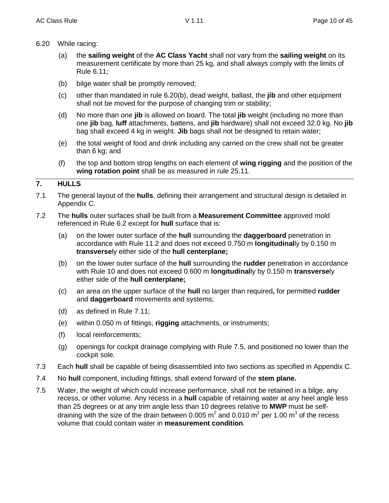- 6.20 While racing:
	- (a) the **sailing weight** of the **AC Class Yacht** shall not vary from the **sailing weight** on its measurement certificate by more than 25 kg, and shall always comply with the limits of Rule 6.11;
	- (b) bilge water shall be promptly removed;
	- (c) other than mandated in rule 6.20(b), dead weight, ballast, the **jib** and other equipment shall not be moved for the purpose of changing trim or stability;
	- (d) No more than one **jib** is allowed on board. The total **jib** weight (including no more than one **jib** bag, **luff** attachments, battens, and **jib** hardware) shall not exceed 32.0 kg. No **jib** bag shall exceed 4 kg in weight. **Jib** bags shall not be designed to retain water;
	- (e) the total weight of food and drink including any carried on the crew shall not be greater than 6 kg; and
	- (f) the top and bottom strop lengths on each element of **wing rigging** and the position of the **wing rotation point** shall be as measured in rule 25.11.

# **7. HULLS**

- 7.1 The general layout of the **hulls**, defining their arrangement and structural design is detailed in Appendix C.
- 7.2 The **hulls** outer surfaces shall be built from a **Measurement Committee** approved mold referenced in Rule 6.2 except for **hull** surface that is:
	- (a) on the lower outer surface of the **hull** surrounding the **daggerboard** penetration in accordance with Rule 11.2 and does not exceed 0.750 m **longitudinal**ly by 0.150 m **transverse**ly either side of the **hull centerplane;**
	- (b) on the lower outer surface of the **hull** surrounding the **rudder** penetration in accordance with Rule 10 and does not exceed 0.600 m **longitudinal**ly by 0.150 m **transverse**ly either side of the **hull centerplane;**
	- (c) an area on the upper surface of the **hull** no larger than required**,** for permitted **rudder** and **daggerboard** movements and systems;
	- (d) as defined in Rule 7.11;
	- (e) within 0.050 m of fittings, **rigging** attachments, or instruments;
	- (f) local reinforcements;
	- (g) openings for cockpit drainage complying with Rule 7.5, and positioned no lower than the cockpit sole.
- 7.3 Each **hull** shall be capable of being disassembled into two sections as specified in Appendix C.
- 7.4 No **hull** component, including fittings, shall extend forward of the **stem plane.**
- 7.5 Water, the weight of which could increase performance, shall not be retained in a bilge, any recess, or other volume. Any recess in a **hull** capable of retaining water at any heel angle less than 25 degrees or at any trim angle less than 10 degrees relative to **MWP** must be selfdraining with the size of the drain between 0.005 m<sup>2</sup> and 0.010 m<sup>2</sup> per 1.00 m<sup>3</sup> of the recess volume that could contain water in **measurement condition**.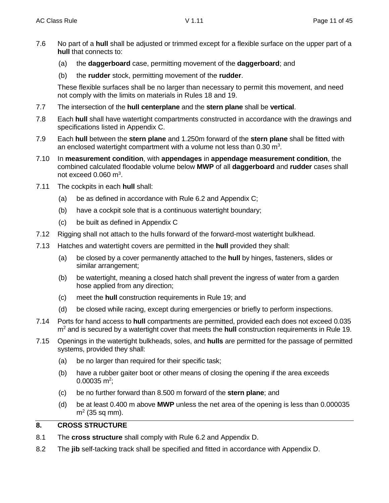- 7.6 No part of a **hull** shall be adjusted or trimmed except for a flexible surface on the upper part of a **hull** that connects to:
	- (a) the **daggerboard** case, permitting movement of the **daggerboard**; and
	- (b) the **rudder** stock, permitting movement of the **rudder**.

These flexible surfaces shall be no larger than necessary to permit this movement, and need not comply with the limits on materials in Rules 18 and 19.

- 7.7 The intersection of the **hull centerplane** and the **stern plane** shall be **vertical**.
- 7.8 Each **hull** shall have watertight compartments constructed in accordance with the drawings and specifications listed in Appendix C.
- 7.9 Each **hull** between the **stern plane** and 1.250m forward of the **stern plane** shall be fitted with an enclosed watertight compartment with a volume not less than  $0.30 \text{ m}^3$ .
- 7.10 In **measurement condition**, with **appendages** in **appendage measurement condition**, the combined calculated floodable volume below **MWP** of all **daggerboard** and **rudder** cases shall not exceed  $0.060$  m<sup>3</sup>.
- 7.11 The cockpits in each **hull** shall:
	- (a) be as defined in accordance with Rule 6.2 and Appendix C;
	- (b) have a cockpit sole that is a continuous watertight boundary;
	- (c) be built as defined in Appendix C
- 7.12 Rigging shall not attach to the hulls forward of the forward-most watertight bulkhead.
- 7.13 Hatches and watertight covers are permitted in the **hull** provided they shall:
	- (a) be closed by a cover permanently attached to the **hull** by hinges, fasteners, slides or similar arrangement;
	- (b) be watertight, meaning a closed hatch shall prevent the ingress of water from a garden hose applied from any direction;
	- (c) meet the **hull** construction requirements in Rule 19; and
	- (d) be closed while racing, except during emergencies or briefly to perform inspections.
- 7.14 Ports for hand access to **hull** compartments are permitted, provided each does not exceed 0.035 m<sup>2</sup> and is secured by a watertight cover that meets the **hull** construction requirements in Rule 19.
- 7.15 Openings in the watertight bulkheads, soles, and **hulls** are permitted for the passage of permitted systems, provided they shall:
	- (a) be no larger than required for their specific task;
	- (b) have a rubber gaiter boot or other means of closing the opening if the area exceeds  $0.00035$  m<sup>2</sup>;
	- (c) be no further forward than 8.500 m forward of the **stern plane**; and
	- (d) be at least 0.400 m above **MWP** unless the net area of the opening is less than 0.000035  $m<sup>2</sup>$  (35 sq mm).

# **8. CROSS STRUCTURE**

- 8.1 The **cross structure** shall comply with Rule 6.2 and Appendix D.
- 8.2 The **jib** self-tacking track shall be specified and fitted in accordance with Appendix D.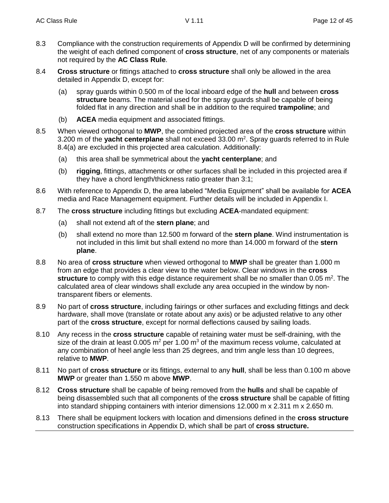- 8.3 Compliance with the construction requirements of Appendix D will be confirmed by determining the weight of each defined component of **cross structure**, net of any components or materials not required by the **AC Class Rule**.
- 8.4 **Cross structure** or fittings attached to **cross structure** shall only be allowed in the area detailed in Appendix D, except for:
	- (a) spray guards within 0.500 m of the local inboard edge of the **hull** and between **cross structure** beams. The material used for the spray guards shall be capable of being folded flat in any direction and shall be in addition to the required **trampoline**; and
	- (b) **ACEA** media equipment and associated fittings.
- 8.5 When viewed orthogonal to **MWP**, the combined projected area of the **cross structure** within 3.200 m of the yacht centerplane shall not exceed 33.00 m<sup>2</sup>. Spray guards referred to in Rule 8.4(a) are excluded in this projected area calculation. Additionally:
	- (a) this area shall be symmetrical about the **yacht centerplane**; and
	- (b) **rigging**, fittings, attachments or other surfaces shall be included in this projected area if they have a chord length/thickness ratio greater than 3:1;
- 8.6 With reference to Appendix D, the area labeled "Media Equipment" shall be available for **ACEA** media and Race Management equipment. Further details will be included in Appendix I.
- 8.7 The **cross structure** including fittings but excluding **ACEA**-mandated equipment:
	- (a) shall not extend aft of the **stern plane**; and
	- (b) shall extend no more than 12.500 m forward of the **stern plane**. Wind instrumentation is not included in this limit but shall extend no more than 14.000 m forward of the **stern plane**.
- 8.8 No area of **cross structure** when viewed orthogonal to **MWP** shall be greater than 1.000 m from an edge that provides a clear view to the water below. Clear windows in the **cross**  structure to comply with this edge distance requirement shall be no smaller than 0.05 m<sup>2</sup>. The calculated area of clear windows shall exclude any area occupied in the window by nontransparent fibers or elements.
- 8.9 No part of **cross structure**, including fairings or other surfaces and excluding fittings and deck hardware, shall move (translate or rotate about any axis) or be adjusted relative to any other part of the **cross structure**, except for normal deflections caused by sailing loads.
- 8.10 Any recess in the **cross structure** capable of retaining water must be self-draining, with the size of the drain at least 0.005  $m^2$  per 1.00  $m^3$  of the maximum recess volume, calculated at any combination of heel angle less than 25 degrees, and trim angle less than 10 degrees, relative to **MWP**.
- 8.11 No part of **cross structure** or its fittings, external to any **hull**, shall be less than 0.100 m above **MWP** or greater than 1.550 m above **MWP**.
- 8.12 **Cross structure** shall be capable of being removed from the **hulls** and shall be capable of being disassembled such that all components of the **cross structure** shall be capable of fitting into standard shipping containers with interior dimensions 12.000 m x 2.311 m x 2.650 m.
- 8.13 There shall be equipment lockers with location and dimensions defined in the **cross structure**  construction specifications in Appendix D, which shall be part of **cross structure.**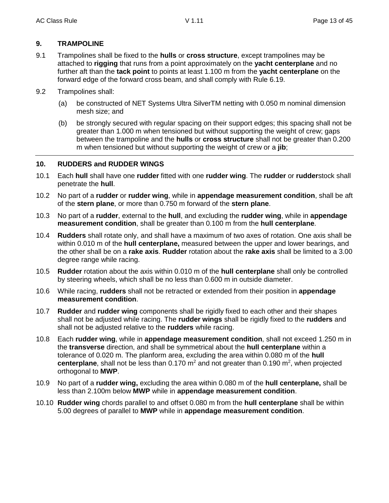# **9. TRAMPOLINE**

- 9.1 Trampolines shall be fixed to the **hulls** or **cross structure**, except trampolines may be attached to **rigging** that runs from a point approximately on the **yacht centerplane** and no further aft than the **tack point** to points at least 1.100 m from the **yacht centerplane** on the forward edge of the forward cross beam, and shall comply with Rule 6.19.
- 9.2 Trampolines shall:
	- (a) be constructed of NET Systems Ultra SilverTM netting with 0.050 m nominal dimension mesh size; and
	- (b) be strongly secured with regular spacing on their support edges; this spacing shall not be greater than 1.000 m when tensioned but without supporting the weight of crew; gaps between the trampoline and the **hulls** or **cross structure** shall not be greater than 0.200 m when tensioned but without supporting the weight of crew or a **jib**;

# **10. RUDDERS and RUDDER WINGS**

- 10.1 Each **hull** shall have one **rudder** fitted with one **rudder wing**. The **rudder** or **rudder**stock shall penetrate the **hull**.
- 10.2 No part of a **rudder** or **rudder wing**, while in **appendage measurement condition**, shall be aft of the **stern plane**, or more than 0.750 m forward of the **stern plane**.
- 10.3 No part of a **rudder**, external to the **hull**, and excluding the **rudder wing**, while in **appendage measurement condition**, shall be greater than 0.100 m from the **hull centerplane**.
- 10.4 **Rudders** shall rotate only, and shall have a maximum of two axes of rotation. One axis shall be within 0.010 m of the **hull centerplane,** measured between the upper and lower bearings, and the other shall be on a **rake axis**. **Rudder** rotation about the **rake axis** shall be limited to a 3.00 degree range while racing.
- 10.5 **Rudder** rotation about the axis within 0.010 m of the **hull centerplane** shall only be controlled by steering wheels, which shall be no less than 0.600 m in outside diameter.
- 10.6 While racing, **rudders** shall not be retracted or extended from their position in **appendage measurement condition**.
- 10.7 **Rudder** and **rudder wing** components shall be rigidly fixed to each other and their shapes shall not be adjusted while racing. The **rudder wings** shall be rigidly fixed to the **rudders** and shall not be adjusted relative to the **rudders** while racing.
- 10.8 Each **rudder wing**, while in **appendage measurement condition**, shall not exceed 1.250 m in the **transverse** direction, and shall be symmetrical about the **hull centerplane** within a tolerance of 0.020 m. The planform area, excluding the area within 0.080 m of the **hull**  centerplane, shall not be less than 0.170 m<sup>2</sup> and not greater than 0.190 m<sup>2</sup>, when projected orthogonal to **MWP**.
- 10.9 No part of a **rudder wing,** excluding the area within 0.080 m of the **hull centerplane,** shall be less than 2.100m below **MWP** while in **appendage measurement condition**.
- 10.10 **Rudder wing** chords parallel to and offset 0.080 m from the **hull centerplane** shall be within 5.00 degrees of parallel to **MWP** while in **appendage measurement condition**.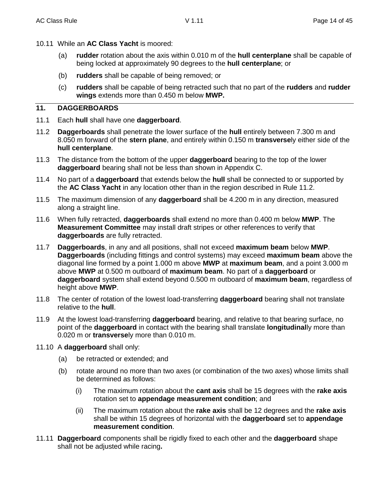- 10.11 While an **AC Class Yacht** is moored:
	- (a) **rudder** rotation about the axis within 0.010 m of the **hull centerplane** shall be capable of being locked at approximately 90 degrees to the **hull centerplane**; or
	- (b) **rudders** shall be capable of being removed; or
	- (c) **rudders** shall be capable of being retracted such that no part of the **rudders** and **rudder wings** extends more than 0.450 m below **MWP.**

# **11. DAGGERBOARDS**

- 11.1 Each **hull** shall have one **daggerboard**.
- 11.2 **Daggerboards** shall penetrate the lower surface of the **hull** entirely between 7.300 m and 8.050 m forward of the **stern plane**, and entirely within 0.150 m **transverse**ly either side of the **hull centerplane**.
- 11.3 The distance from the bottom of the upper **daggerboard** bearing to the top of the lower **daggerboard** bearing shall not be less than shown in Appendix C.
- 11.4 No part of a **daggerboard** that extends below the **hull** shall be connected to or supported by the **AC Class Yacht** in any location other than in the region described in Rule 11.2.
- 11.5 The maximum dimension of any **daggerboard** shall be 4.200 m in any direction, measured along a straight line.
- 11.6 When fully retracted, **daggerboards** shall extend no more than 0.400 m below **MWP**. The **Measurement Committee** may install draft stripes or other references to verify that **daggerboards** are fully retracted.
- 11.7 **Daggerboards**, in any and all positions, shall not exceed **maximum beam** below **MWP**. **Daggerboards** (including fittings and control systems) may exceed **maximum beam** above the diagonal line formed by a point 1.000 m above **MWP** at **maximum beam**, and a point 3.000 m above **MWP** at 0.500 m outboard of **maximum beam**. No part of a **daggerboard** or **daggerboard** system shall extend beyond 0.500 m outboard of **maximum beam**, regardless of height above **MWP**.
- 11.8 The center of rotation of the lowest load-transferring **daggerboard** bearing shall not translate relative to the **hull**.
- 11.9 At the lowest load-transferring **daggerboard** bearing, and relative to that bearing surface, no point of the **daggerboard** in contact with the bearing shall translate **longitudinal**ly more than 0.020 m or **transverse**ly more than 0.010 m.
- 11.10 A **daggerboard** shall only:
	- (a) be retracted or extended; and
	- (b) rotate around no more than two axes (or combination of the two axes) whose limits shall be determined as follows:
		- (i) The maximum rotation about the **cant axis** shall be 15 degrees with the **rake axis** rotation set to **appendage measurement condition**; and
		- (ii) The maximum rotation about the **rake axis** shall be 12 degrees and the **rake axis** shall be within 15 degrees of horizontal with the **daggerboard** set to **appendage measurement condition**.
- 11.11 **Daggerboard** components shall be rigidly fixed to each other and the **daggerboard** shape shall not be adjusted while racing**.**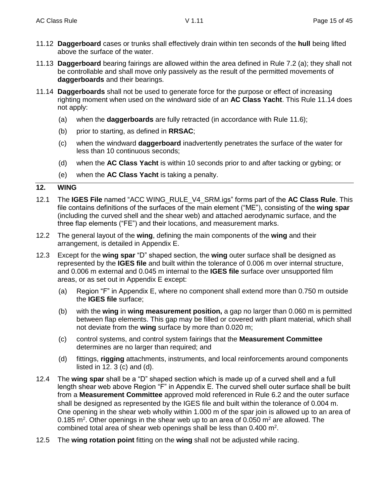- 11.12 **Daggerboard** cases or trunks shall effectively drain within ten seconds of the **hull** being lifted above the surface of the water.
- 11.13 **Daggerboard** bearing fairings are allowed within the area defined in Rule 7.2 (a); they shall not be controllable and shall move only passively as the result of the permitted movements of **daggerboards** and their bearings.
- 11.14 **Daggerboards** shall not be used to generate force for the purpose or effect of increasing righting moment when used on the windward side of an **AC Class Yacht**. This Rule 11.14 does not apply:
	- (a) when the **daggerboards** are fully retracted (in accordance with Rule 11.6);
	- (b) prior to starting, as defined in **RRSAC**;
	- (c) when the windward **daggerboard** inadvertently penetrates the surface of the water for less than 10 continuous seconds;
	- (d) when the **AC Class Yacht** is within 10 seconds prior to and after tacking or gybing; or
	- (e) when the **AC Class Yacht** is taking a penalty.

#### **12. WING**

- 12.1 The **IGES File** named "ACC WING\_RULE\_V4\_SRM.igs" forms part of the **AC Class Rule**. This file contains definitions of the surfaces of the main element ("ME"), consisting of the **wing spar**  (including the curved shell and the shear web) and attached aerodynamic surface, and the three flap elements ("FE") and their locations, and measurement marks.
- 12.2 The general layout of the **wing**, defining the main components of the **wing** and their arrangement, is detailed in Appendix E.
- 12.3 Except for the **wing spar** "D" shaped section, the **wing** outer surface shall be designed as represented by the **IGES file** and built within the tolerance of 0.006 m over internal structure, and 0.006 m external and 0.045 m internal to the **IGES file** surface over unsupported film areas, or as set out in Appendix E except:
	- (a) Region "F" in Appendix E, where no component shall extend more than 0.750 m outside the **IGES file** surface;
	- (b) with the **wing** in **wing measurement position,** a gap no larger than 0.060 m is permitted between flap elements. This gap may be filled or covered with pliant material, which shall not deviate from the **wing** surface by more than 0.020 m;
	- (c) control systems, and control system fairings that the **Measurement Committee** determines are no larger than required; and
	- (d) fittings, **rigging** attachments, instruments, and local reinforcements around components listed in 12. 3 (c) and (d).
- 12.4 The **wing spar** shall be a "D" shaped section which is made up of a curved shell and a full length shear web above Region "F" in Appendix E. The curved shell outer surface shall be built from a **Measurement Committee** approved mold referenced in Rule 6.2 and the outer surface shall be designed as represented by the IGES file and built within the tolerance of 0.004 m. One opening in the shear web wholly within 1.000 m of the spar join is allowed up to an area of 0.185 m<sup>2</sup>. Other openings in the shear web up to an area of 0.050 m<sup>2</sup> are allowed. The combined total area of shear web openings shall be less than  $0.400$  m<sup>2</sup>.
- 12.5 The **wing rotation point** fitting on the **wing** shall not be adjusted while racing.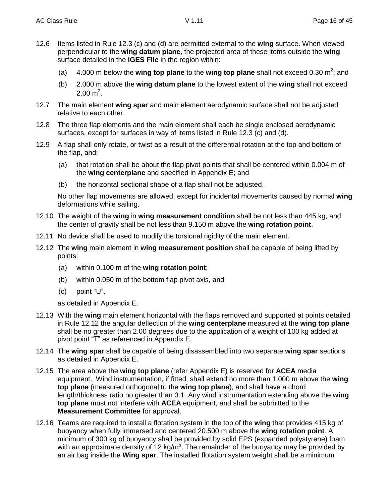- 12.6 Items listed in Rule 12.3 (c) and (d) are permitted external to the **wing** surface. When viewed perpendicular to the wing datum plane, the projected area of these items outside the **wing** surface detailed in the **IGES File** in the region within:
	- (a) 4.000 m below the **wing top plane** to the wing top plane shall not exceed 0.30 m<sup>2</sup>; and
	- (b) 2.000 m above the **wing datum plane** to the lowest extent of the **wing** shall not exceed  $2.00 \text{ m}^2$ .
- 12.7 The main element **wing spar** and main element aerodynamic surface shall not be adjusted relative to each other.
- 12.8 The three flap elements and the main element shall each be single enclosed aerodynamic surfaces, except for surfaces in way of items listed in Rule 12.3 (c) and (d).
- 12.9 A flap shall only rotate, or twist as a result of the differential rotation at the top and bottom of the flap, and:
	- (a) that rotation shall be about the flap pivot points that shall be centered within 0.004 m of the **wing centerplane** and specified in Appendix E; and
	- (b) the horizontal sectional shape of a flap shall not be adjusted.

No other flap movements are allowed, except for incidental movements caused by normal **wing** deformations while sailing.

- 12.10 The weight of the **wing** in **wing measurement condition** shall be not less than 445 kg, and the center of gravity shall be not less than 9.150 m above the **wing rotation point**.
- 12.11 No device shall be used to modify the torsional rigidity of the main element.
- 12.12 The **wing** main element in **wing measurement position** shall be capable of being lifted by points:
	- (a) within 0.100 m of the **wing rotation point**;
	- (b) within 0.050 m of the bottom flap pivot axis, and
	- (c) point "U",

as detailed in Appendix E.

- 12.13 With the **wing** main element horizontal with the flaps removed and supported at points detailed in Rule 12.12 the angular deflection of the **wing centerplane** measured at the **wing top plane** shall be no greater than 2.00 degrees due to the application of a weight of 100 kg added at pivot point "T" as referenced in Appendix E.
- 12.14 The **wing spar** shall be capable of being disassembled into two separate **wing spar** sections as detailed in Appendix E.
- 12.15 The area above the **wing top plane** (refer Appendix E) is reserved for **ACEA** media equipment. Wind instrumentation, if fitted, shall extend no more than 1.000 m above the **wing top plane** (measured orthogonal to the **wing top plane**), and shall have a chord length/thickness ratio no greater than 3:1. Any wind instrumentation extending above the **wing top plane** must not interfere with **ACEA** equipment, and shall be submitted to the **Measurement Committee** for approval.
- 12.16 Teams are required to install a flotation system in the top of the **wing** that provides 415 kg of buoyancy when fully immersed and centered 20.500 m above the **wing rotation point**. A minimum of 300 kg of buoyancy shall be provided by solid EPS (expanded polystyrene) foam with an approximate density of 12 kg/m<sup>3</sup>. The remainder of the buoyancy may be provided by an air bag inside the **Wing spar**. The installed flotation system weight shall be a minimum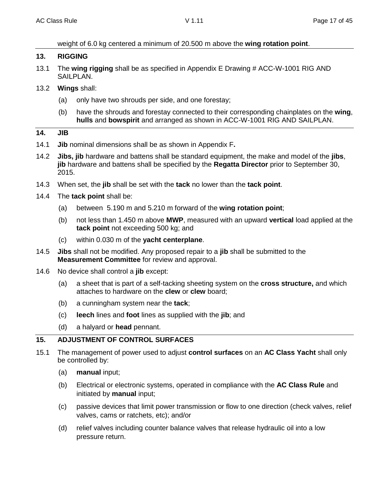# weight of 6.0 kg centered a minimum of 20.500 m above the **wing rotation point**.

#### **13. RIGGING**

- 13.1 The **wing rigging** shall be as specified in Appendix E Drawing # ACC-W-1001 RIG AND SAILPLAN.
- 13.2 **Wings** shall:
	- (a) only have two shrouds per side, and one forestay;
	- (b) have the shrouds and forestay connected to their corresponding chainplates on the **wing**, **hulls** and **bowspirit** and arranged as shown in ACC-W-1001 RIG AND SAILPLAN.

#### **14. JIB**

- 14.1 **Jib** nominal dimensions shall be as shown in Appendix F**.**
- 14.2 **Jibs, jib** hardware and battens shall be standard equipment, the make and model of the **jibs**, **jib** hardware and battens shall be specified by the **Regatta Director** prior to September 30, 2015.
- 14.3 When set, the **jib** shall be set with the **tack** no lower than the **tack point**.
- 14.4 The **tack point** shall be:
	- (a) between 5.190 m and 5.210 m forward of the **wing rotation point**;
	- (b) not less than 1.450 m above **MWP**, measured with an upward **vertical** load applied at the **tack point** not exceeding 500 kg; and
	- (c) within 0.030 m of the **yacht centerplane**.
- 14.5 **Jibs** shall not be modified. Any proposed repair to a **jib** shall be submitted to the **Measurement Committee** for review and approval.
- 14.6 No device shall control a **jib** except:
	- (a) a sheet that is part of a self-tacking sheeting system on the **cross structure,** and which attaches to hardware on the **clew** or **clew** board;
	- (b) a cunningham system near the **tack**;
	- (c) **leech** lines and **foot** lines as supplied with the **jib**; and
	- (d) a halyard or **head** pennant.

# **15. ADJUSTMENT OF CONTROL SURFACES**

- 15.1 The management of power used to adjust **control surfaces** on an **AC Class Yacht** shall only be controlled by:
	- (a) **manual** input;
	- (b) Electrical or electronic systems, operated in compliance with the **AC Class Rule** and initiated by **manual** input;
	- (c) passive devices that limit power transmission or flow to one direction (check valves, relief valves, cams or ratchets, etc); and/or
	- (d) relief valves including counter balance valves that release hydraulic oil into a low pressure return.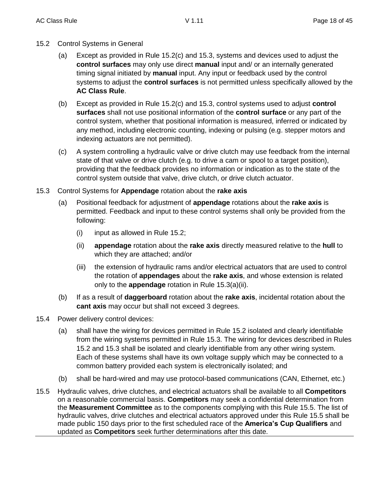- 15.2 Control Systems in General
	- (a) Except as provided in Rule 15.2(c) and 15.3, systems and devices used to adjust the **control surfaces** may only use direct **manual** input and/ or an internally generated timing signal initiated by **manual** input. Any input or feedback used by the control systems to adjust the **control surfaces** is not permitted unless specifically allowed by the **AC Class Rule**.
	- (b) Except as provided in Rule 15.2(c) and 15.3, control systems used to adjust **control surfaces** shall not use positional information of the **control surface** or any part of the control system, whether that positional information is measured, inferred or indicated by any method, including electronic counting, indexing or pulsing (e.g. stepper motors and indexing actuators are not permitted).
	- (c) A system controlling a hydraulic valve or drive clutch may use feedback from the internal state of that valve or drive clutch (e.g. to drive a cam or spool to a target position), providing that the feedback provides no information or indication as to the state of the control system outside that valve, drive clutch, or drive clutch actuator.
- 15.3 Control Systems for **Appendage** rotation about the **rake axis**
	- (a) Positional feedback for adjustment of **appendage** rotations about the **rake axis** is permitted. Feedback and input to these control systems shall only be provided from the following:
		- (i) input as allowed in Rule 15.2;
		- (ii) **appendage** rotation about the **rake axis** directly measured relative to the **hull** to which they are attached; and/or
		- (iii) the extension of hydraulic rams and/or electrical actuators that are used to control the rotation of **appendages** about the **rake axis**, and whose extension is related only to the **appendage** rotation in Rule 15.3(a)(ii).
	- (b) If as a result of **daggerboard** rotation about the **rake axis**, incidental rotation about the **cant axis** may occur but shall not exceed 3 degrees.
- 15.4 Power delivery control devices:
	- (a) shall have the wiring for devices permitted in Rule 15.2 isolated and clearly identifiable from the wiring systems permitted in Rule 15.3. The wiring for devices described in Rules 15.2 and 15.3 shall be isolated and clearly identifiable from any other wiring system. Each of these systems shall have its own voltage supply which may be connected to a common battery provided each system is electronically isolated; and
	- (b) shall be hard-wired and may use protocol-based communications (CAN, Ethernet, etc.)
- 15.5 Hydraulic valves, drive clutches, and electrical actuators shall be available to all **Competitors** on a reasonable commercial basis. **Competitors** may seek a confidential determination from the **Measurement Committee** as to the components complying with this Rule 15.5. The list of hydraulic valves, drive clutches and electrical actuators approved under this Rule 15.5 shall be made public 150 days prior to the first scheduled race of the **America's Cup Qualifiers** and updated as **Competitors** seek further determinations after this date.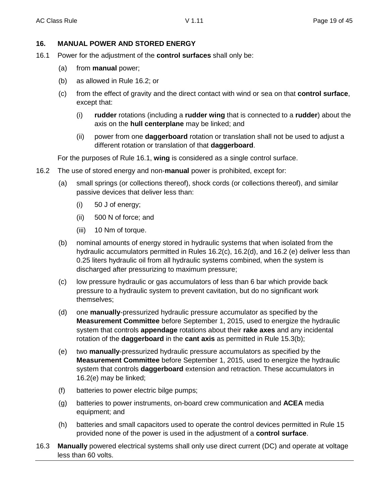# **16. MANUAL POWER AND STORED ENERGY**

- 16.1 Power for the adjustment of the **control surfaces** shall only be:
	- (a) from **manual** power;
	- (b) as allowed in Rule 16.2; or
	- (c) from the effect of gravity and the direct contact with wind or sea on that **control surface**, except that:
		- (i) **rudder** rotations (including a **rudder wing** that is connected to a **rudder**) about the axis on the **hull centerplane** may be linked; and
		- (ii) power from one **daggerboard** rotation or translation shall not be used to adjust a different rotation or translation of that **daggerboard**.

For the purposes of Rule 16.1, **wing** is considered as a single control surface.

- 16.2 The use of stored energy and non-**manual** power is prohibited, except for:
	- (a) small springs (or collections thereof), shock cords (or collections thereof), and similar passive devices that deliver less than:
		- (i) 50 J of energy;
		- (ii) 500 N of force; and
		- (iii) 10 Nm of torque.
	- (b) nominal amounts of energy stored in hydraulic systems that when isolated from the hydraulic accumulators permitted in Rules 16.2(c), 16.2(d), and 16.2 (e) deliver less than 0.25 liters hydraulic oil from all hydraulic systems combined, when the system is discharged after pressurizing to maximum pressure;
	- (c) low pressure hydraulic or gas accumulators of less than 6 bar which provide back pressure to a hydraulic system to prevent cavitation, but do no significant work themselves;
	- (d) one **manually**-pressurized hydraulic pressure accumulator as specified by the **Measurement Committee** before September 1, 2015, used to energize the hydraulic system that controls **appendage** rotations about their **rake axes** and any incidental rotation of the **daggerboard** in the **cant axis** as permitted in Rule 15.3(b);
	- (e) two **manually**-pressurized hydraulic pressure accumulators as specified by the **Measurement Committee** before September 1, 2015, used to energize the hydraulic system that controls **daggerboard** extension and retraction. These accumulators in 16.2(e) may be linked;
	- (f) batteries to power electric bilge pumps;
	- (g) batteries to power instruments, on-board crew communication and **ACEA** media equipment; and
	- (h) batteries and small capacitors used to operate the control devices permitted in Rule 15 provided none of the power is used in the adjustment of a **control surface**.
- 16.3 **Manually** powered electrical systems shall only use direct current (DC) and operate at voltage less than 60 volts.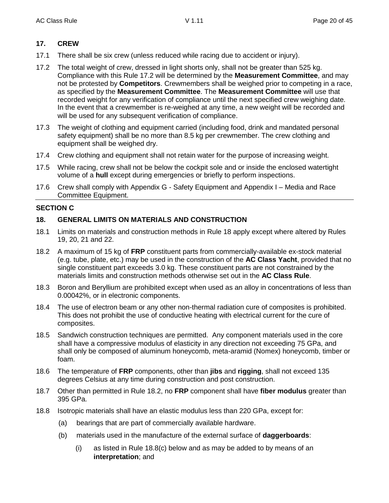# **17. CREW**

- 17.1 There shall be six crew (unless reduced while racing due to accident or injury).
- 17.2 The total weight of crew, dressed in light shorts only, shall not be greater than 525 kg. Compliance with this Rule 17.2 will be determined by the **Measurement Committee**, and may not be protested by **Competitors**. Crewmembers shall be weighed prior to competing in a race, as specified by the **Measurement Committee**. The **Measurement Committee** will use that recorded weight for any verification of compliance until the next specified crew weighing date. In the event that a crewmember is re-weighed at any time, a new weight will be recorded and will be used for any subsequent verification of compliance.
- 17.3 The weight of clothing and equipment carried (including food, drink and mandated personal safety equipment) shall be no more than 8.5 kg per crewmember. The crew clothing and equipment shall be weighed dry.
- 17.4 Crew clothing and equipment shall not retain water for the purpose of increasing weight.
- 17.5 While racing, crew shall not be below the cockpit sole and or inside the enclosed watertight volume of a **hull** except during emergencies or briefly to perform inspections.
- 17.6 Crew shall comply with Appendix G Safety Equipment and Appendix I Media and Race Committee Equipment.

# **SECTION C**

# **18. GENERAL LIMITS ON MATERIALS AND CONSTRUCTION**

- 18.1 Limits on materials and construction methods in Rule 18 apply except where altered by Rules 19, 20, 21 and 22.
- 18.2 A maximum of 15 kg of **FRP** constituent parts from commercially-available ex-stock material (e.g. tube, plate, etc.) may be used in the construction of the **AC Class Yacht**, provided that no single constituent part exceeds 3.0 kg. These constituent parts are not constrained by the materials limits and construction methods otherwise set out in the **AC Class Rule**.
- 18.3 Boron and Beryllium are prohibited except when used as an alloy in concentrations of less than 0.00042%, or in electronic components.
- 18.4 The use of electron beam or any other non-thermal radiation cure of composites is prohibited. This does not prohibit the use of conductive heating with electrical current for the cure of composites.
- 18.5 Sandwich construction techniques are permitted. Any component materials used in the core shall have a compressive modulus of elasticity in any direction not exceeding 75 GPa, and shall only be composed of aluminum honeycomb, meta-aramid (Nomex) honeycomb, timber or foam.
- 18.6 The temperature of **FRP** components, other than **jibs** and **rigging**, shall not exceed 135 degrees Celsius at any time during construction and post construction.
- 18.7 Other than permitted in Rule 18.2, no **FRP** component shall have **fiber modulus** greater than 395 GPa.
- 18.8 Isotropic materials shall have an elastic modulus less than 220 GPa, except for:
	- (a) bearings that are part of commercially available hardware.
	- (b) materials used in the manufacture of the external surface of **daggerboards**:
		- (i) as listed in Rule 18.8(c) below and as may be added to by means of an **interpretation**; and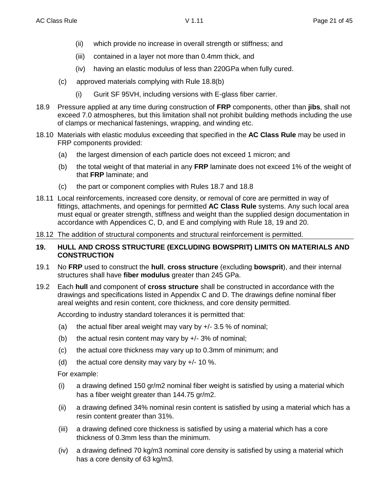- (ii) which provide no increase in overall strength or stiffness; and
- (iii) contained in a layer not more than 0.4mm thick, and
- (iv) having an elastic modulus of less than 220GPa when fully cured.
- (c) approved materials complying with Rule 18.8(b)
	- (i) Gurit SF 95VH, including versions with E-glass fiber carrier.
- 18.9 Pressure applied at any time during construction of **FRP** components, other than **jibs**, shall not exceed 7.0 atmospheres, but this limitation shall not prohibit building methods including the use of clamps or mechanical fastenings, wrapping, and winding etc.
- 18.10 Materials with elastic modulus exceeding that specified in the **AC Class Rule** may be used in FRP components provided:
	- (a) the largest dimension of each particle does not exceed 1 micron; and
	- (b) the total weight of that material in any **FRP** laminate does not exceed 1% of the weight of that **FRP** laminate; and
	- (c) the part or component complies with Rules 18.7 and 18.8
- 18.11 Local reinforcements, increased core density, or removal of core are permitted in way of fittings, attachments, and openings for permitted **AC Class Rule** systems. Any such local area must equal or greater strength, stiffness and weight than the supplied design documentation in accordance with Appendices C, D, and E and complying with Rule 18, 19 and 20.
- 18.12 The addition of structural components and structural reinforcement is permitted.

#### **19. HULL AND CROSS STRUCTURE (EXCLUDING BOWSPRIT) LIMITS ON MATERIALS AND CONSTRUCTION**

- 19.1 No **FRP** used to construct the **hull**, **cross structure** (excluding **bowsprit**), and their internal structures shall have **fiber modulus** greater than 245 GPa.
- 19.2 Each **hull** and component of **cross structure** shall be constructed in accordance with the drawings and specifications listed in Appendix C and D. The drawings define nominal fiber areal weights and resin content, core thickness, and core density permitted.

According to industry standard tolerances it is permitted that:

- (a) the actual fiber areal weight may vary by  $+/- 3.5 \%$  of nominal;
- (b) the actual resin content may vary by  $+/- 3\%$  of nominal;
- (c) the actual core thickness may vary up to 0.3mm of minimum; and
- (d) the actual core density may vary by  $+/- 10$  %.

For example:

- (i) a drawing defined 150 gr/m2 nominal fiber weight is satisfied by using a material which has a fiber weight greater than 144.75 gr/m2.
- (ii) a drawing defined 34% nominal resin content is satisfied by using a material which has a resin content greater than 31%.
- (iii) a drawing defined core thickness is satisfied by using a material which has a core thickness of 0.3mm less than the minimum.
- (iv) a drawing defined 70 kg/m3 nominal core density is satisfied by using a material which has a core density of 63 kg/m3.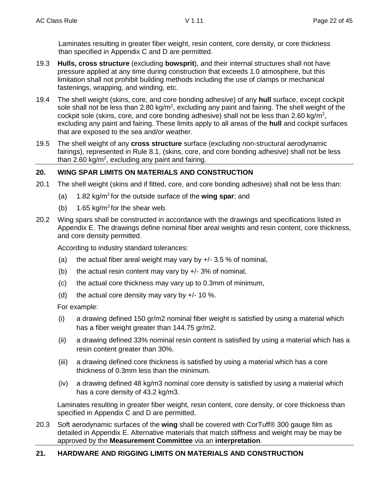Laminates resulting in greater fiber weight, resin content, core density, or core thickness than specified in Appendix C and D are permitted.

- 19.3 **Hulls, cross structure** (excluding **bowsprit**), and their internal structures shall not have pressure applied at any time during construction that exceeds 1.0 atmosphere, but this limitation shall not prohibit building methods including the use of clamps or mechanical fastenings, wrapping, and winding, etc.
- 19.4 The shell weight (skins, core, and core bonding adhesive) of any **hull** surface, except cockpit sole shall not be less than 2.80 kg/m<sup>2</sup>, excluding any paint and fairing. The shell weight of the cockpit sole (skins, core, and core bonding adhesive) shall not be less than 2.60 kg/m<sup>2</sup>, excluding any paint and fairing. These limits apply to all areas of the **hull** and cockpit surfaces that are exposed to the sea and/or weather.
- 19.5 The shell weight of any **cross structure** surface (excluding non-structural aerodynamic fairings), represented in Rule 8.1, (skins, core, and core bonding adhesive) shall not be less than 2.60 kg/m<sup>2</sup>, excluding any paint and fairing.

# **20. WING SPAR LIMITS ON MATERIALS AND CONSTRUCTION**

- 20.1 The shell weight (skins and if fitted, core, and core bonding adhesive) shall not be less than:
	- (a) 1.82 kg/m<sup>2</sup> for the outside surface of the **wing spar**; and
	- (b)  $1.65 \text{ kg/m}^2$  for the shear web.
- 20.2 Wing spars shall be constructed in accordance with the drawings and specifications listed in Appendix E. The drawings define nominal fiber areal weights and resin content, core thickness, and core density permitted.

According to industry standard tolerances:

- (a) the actual fiber areal weight may vary by  $+/-$  3.5 % of nominal,
- (b) the actual resin content may vary by  $+/- 3\%$  of nominal,
- (c) the actual core thickness may vary up to 0.3mm of minimum,
- (d) the actual core density may vary by  $+/- 10 \%$ .

For example:

- (i) a drawing defined 150 gr/m2 nominal fiber weight is satisfied by using a material which has a fiber weight greater than 144.75 gr/m2.
- (ii) a drawing defined 33% nominal resin content is satisfied by using a material which has a resin content greater than 30%.
- (iii) a drawing defined core thickness is satisfied by using a material which has a core thickness of 0.3mm less than the minimum.
- (iv) a drawing defined 48 kg/m3 nominal core density is satisfied by using a material which has a core density of 43.2 kg/m3.

Laminates resulting in greater fiber weight, resin content, core density, or core thickness than specified in Appendix C and D are permitted.

20.3 Soft aerodynamic surfaces of the **wing** shall be covered with CorTuff® 300 gauge film as detailed in Appendix E. Alternative materials that match stiffness and weight may be may be approved by the **Measurement Committee** via an **interpretation**.

# **21. HARDWARE AND RIGGING LIMITS ON MATERIALS AND CONSTRUCTION**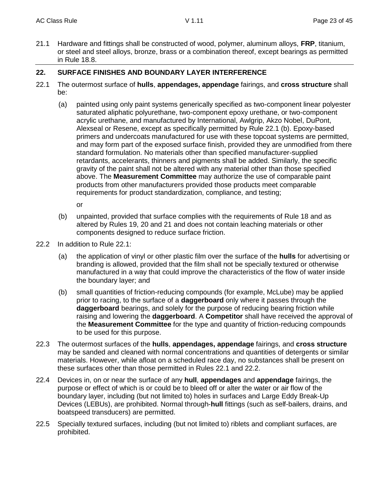21.1 Hardware and fittings shall be constructed of wood, polymer, aluminum alloys, **FRP**, titanium, or steel and steel alloys, bronze, brass or a combination thereof, except bearings as permitted in Rule 18.8.

# **22. SURFACE FINISHES AND BOUNDARY LAYER INTERFERENCE**

- 22.1 The outermost surface of **hulls**, **appendages, appendage** fairings, and **cross structure** shall be:
	- (a) painted using only paint systems generically specified as two-component linear polyester saturated aliphatic polyurethane, two-component epoxy urethane, or two-component acrylic urethane, and manufactured by International, Awlgrip, Akzo Nobel, DuPont, Alexseal or Resene, except as specifically permitted by Rule 22.1 (b). Epoxy-based primers and undercoats manufactured for use with these topcoat systems are permitted, and may form part of the exposed surface finish, provided they are unmodified from there standard formulation. No materials other than specified manufacturer-supplied retardants, accelerants, thinners and pigments shall be added. Similarly, the specific gravity of the paint shall not be altered with any material other than those specified above. The **Measurement Committee** may authorize the use of comparable paint products from other manufacturers provided those products meet comparable requirements for product standardization, compliance, and testing;

or

- (b) unpainted, provided that surface complies with the requirements of Rule 18 and as altered by Rules 19, 20 and 21 and does not contain leaching materials or other components designed to reduce surface friction.
- 22.2 In addition to Rule 22.1:
	- (a) the application of vinyl or other plastic film over the surface of the **hulls** for advertising or branding is allowed, provided that the film shall not be specially textured or otherwise manufactured in a way that could improve the characteristics of the flow of water inside the boundary layer; and
	- (b) small quantities of friction-reducing compounds (for example, McLube) may be applied prior to racing, to the surface of a **daggerboard** only where it passes through the **daggerboard** bearings, and solely for the purpose of reducing bearing friction while raising and lowering the **daggerboard**. A **Competitor** shall have received the approval of the **Measurement Committee** for the type and quantity of friction-reducing compounds to be used for this purpose.
- 22.3 The outermost surfaces of the **hulls**, **appendages, appendage** fairings, and **cross structure** may be sanded and cleaned with normal concentrations and quantities of detergents or similar materials. However, while afloat on a scheduled race day, no substances shall be present on these surfaces other than those permitted in Rules 22.1 and 22.2.
- 22.4 Devices in, on or near the surface of any **hull**, **appendages** and **appendage** fairings, the purpose or effect of which is or could be to bleed off or alter the water or air flow of the boundary layer, including (but not limited to) holes in surfaces and Large Eddy Break-Up Devices (LEBUs), are prohibited. Normal through-**hull** fittings (such as self-bailers, drains, and boatspeed transducers) are permitted.
- 22.5 Specially textured surfaces, including (but not limited to) riblets and compliant surfaces, are prohibited.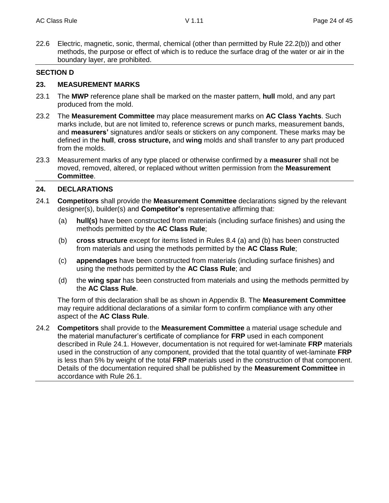22.6 Electric, magnetic, sonic, thermal, chemical (other than permitted by Rule 22.2(b)) and other methods, the purpose or effect of which is to reduce the surface drag of the water or air in the boundary layer, are prohibited.

#### **SECTION D**

#### **23. MEASUREMENT MARKS**

- 23.1 The **MWP** reference plane shall be marked on the master pattern, **hull** mold, and any part produced from the mold.
- 23.2 The **Measurement Committee** may place measurement marks on **AC Class Yachts**. Such marks include, but are not limited to, reference screws or punch marks, measurement bands, and **measurers'** signatures and/or seals or stickers on any component. These marks may be defined in the **hull**, **cross structure,** and **wing** molds and shall transfer to any part produced from the molds.
- 23.3 Measurement marks of any type placed or otherwise confirmed by a **measurer** shall not be moved, removed, altered, or replaced without written permission from the **Measurement Committee**.

#### **24. DECLARATIONS**

- 24.1 **Competitors** shall provide the **Measurement Committee** declarations signed by the relevant designer(s), builder(s) and **Competitor's** representative affirming that:
	- (a) **hull(s)** have been constructed from materials (including surface finishes) and using the methods permitted by the **AC Class Rule**;
	- (b) **cross structure** except for items listed in Rules 8.4 (a) and (b) has been constructed from materials and using the methods permitted by the **AC Class Rule**;
	- (c) **appendages** have been constructed from materials (including surface finishes) and using the methods permitted by the **AC Class Rule**; and
	- (d) the **wing spar** has been constructed from materials and using the methods permitted by the **AC Class Rule**.

The form of this declaration shall be as shown in Appendix B. The **Measurement Committee** may require additional declarations of a similar form to confirm compliance with any other aspect of the **AC Class Rule**.

24.2 **Competitors** shall provide to the **Measurement Committee** a material usage schedule and the material manufacturer's certificate of compliance for **FRP** used in each component described in Rule 24.1. However, documentation is not required for wet-laminate **FRP** materials used in the construction of any component, provided that the total quantity of wet-laminate **FRP** is less than 5% by weight of the total **FRP** materials used in the construction of that component. Details of the documentation required shall be published by the **Measurement Committee** in accordance with Rule 26.1.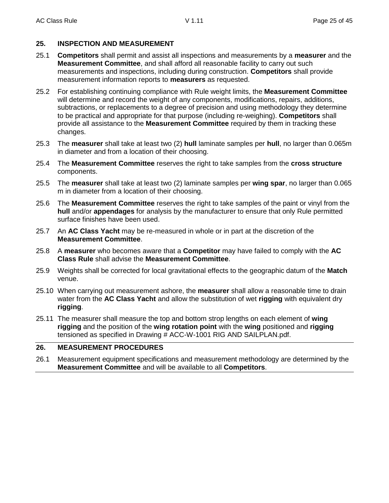# **25. INSPECTION AND MEASUREMENT**

- 25.1 **Competitors** shall permit and assist all inspections and measurements by a **measurer** and the **Measurement Committee**, and shall afford all reasonable facility to carry out such measurements and inspections, including during construction. **Competitors** shall provide measurement information reports to **measurers** as requested.
- 25.2 For establishing continuing compliance with Rule weight limits, the **Measurement Committee** will determine and record the weight of any components, modifications, repairs, additions, subtractions, or replacements to a degree of precision and using methodology they determine to be practical and appropriate for that purpose (including re-weighing). **Competitors** shall provide all assistance to the **Measurement Committee** required by them in tracking these changes.
- 25.3 The **measurer** shall take at least two (2) **hull** laminate samples per **hull**, no larger than 0.065m in diameter and from a location of their choosing.
- 25.4 The **Measurement Committee** reserves the right to take samples from the **cross structure** components.
- 25.5 The **measurer** shall take at least two (2) laminate samples per **wing spar**, no larger than 0.065 m in diameter from a location of their choosing.
- 25.6 The **Measurement Committee** reserves the right to take samples of the paint or vinyl from the **hull** and/or **appendages** for analysis by the manufacturer to ensure that only Rule permitted surface finishes have been used.
- 25.7 An **AC Class Yacht** may be re-measured in whole or in part at the discretion of the **Measurement Committee**.
- 25.8 A **measurer** who becomes aware that a **Competitor** may have failed to comply with the **AC Class Rule** shall advise the **Measurement Committee**.
- 25.9 Weights shall be corrected for local gravitational effects to the geographic datum of the **Match** venue.
- 25.10 When carrying out measurement ashore, the **measurer** shall allow a reasonable time to drain water from the **AC Class Yacht** and allow the substitution of wet **rigging** with equivalent dry **rigging**.
- 25.11 The measurer shall measure the top and bottom strop lengths on each element of **wing rigging** and the position of the **wing rotation point** with the **wing** positioned and **rigging** tensioned as specified in Drawing # ACC-W-1001 RIG AND SAILPLAN.pdf.

# **26. MEASUREMENT PROCEDURES**

26.1 Measurement equipment specifications and measurement methodology are determined by the **Measurement Committee** and will be available to all **Competitors**.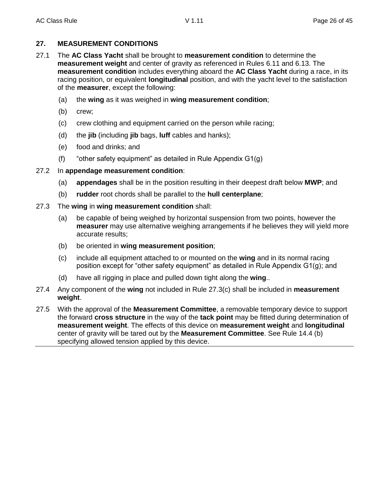# **27. MEASUREMENT CONDITIONS**

- 27.1 The **AC Class Yacht** shall be brought to **measurement condition** to determine the **measurement weight** and center of gravity as referenced in Rules 6.11 and 6.13. The **measurement condition** includes everything aboard the **AC Class Yacht** during a race, in its racing position, or equivalent **longitudinal** position, and with the yacht level to the satisfaction of the **measurer**, except the following:
	- (a) the **wing** as it was weighed in **wing measurement condition**;
	- (b) crew;
	- (c) crew clothing and equipment carried on the person while racing;
	- (d) the **jib** (including **jib** bags, **luff** cables and hanks);
	- (e) food and drinks; and
	- (f) "other safety equipment" as detailed in Rule Appendix G1(g)

# 27.2 In **appendage measurement condition**:

- (a) **appendages** shall be in the position resulting in their deepest draft below **MWP**; and
- (b) **rudder** root chords shall be parallel to the **hull centerplane**;
- 27.3 The **wing** in **wing measurement condition** shall:
	- (a) be capable of being weighed by horizontal suspension from two points, however the **measurer** may use alternative weighing arrangements if he believes they will yield more accurate results;
	- (b) be oriented in **wing measurement position**;
	- (c) include all equipment attached to or mounted on the **wing** and in its normal racing position except for "other safety equipment" as detailed in Rule Appendix G1(g); and
	- (d) have all rigging in place and pulled down tight along the **wing**..
- 27.4 Any component of the **wing** not included in Rule 27.3(c) shall be included in **measurement weight**.
- 27.5 With the approval of the **Measurement Committee**, a removable temporary device to support the forward **cross structure** in the way of the **tack point** may be fitted during determination of **measurement weight**. The effects of this device on **measurement weight** and **longitudinal** center of gravity will be tared out by the **Measurement Committee**. See Rule 14.4 (b) specifying allowed tension applied by this device.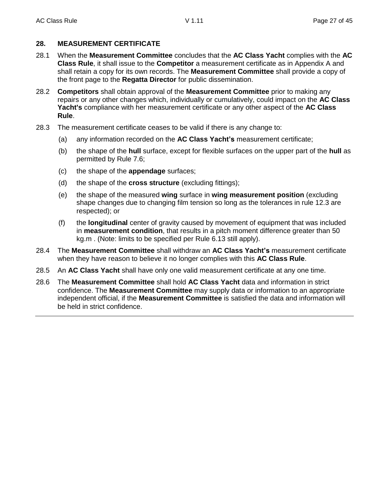# **28. MEASUREMENT CERTIFICATE**

- 28.1 When the **Measurement Committee** concludes that the **AC Class Yacht** complies with the **AC Class Rule**, it shall issue to the **Competitor** a measurement certificate as in Appendix A and shall retain a copy for its own records. The **Measurement Committee** shall provide a copy of the front page to the **Regatta Director** for public dissemination.
- 28.2 **Competitors** shall obtain approval of the **Measurement Committee** prior to making any repairs or any other changes which, individually or cumulatively, could impact on the **AC Class Yacht's** compliance with her measurement certificate or any other aspect of the **AC Class Rule**.
- 28.3 The measurement certificate ceases to be valid if there is any change to:
	- (a) any information recorded on the **AC Class Yacht's** measurement certificate;
	- (b) the shape of the **hull** surface, except for flexible surfaces on the upper part of the **hull** as permitted by Rule 7.6;
	- (c) the shape of the **appendage** surfaces;
	- (d) the shape of the **cross structure** (excluding fittings);
	- (e) the shape of the measured **wing** surface in **wing measurement position** (excluding shape changes due to changing film tension so long as the tolerances in rule 12.3 are respected); or
	- (f) the **longitudinal** center of gravity caused by movement of equipment that was included in **measurement condition**, that results in a pitch moment difference greater than 50 kg.m . (Note: limits to be specified per Rule 6.13 still apply).
- 28.4 The **Measurement Committee** shall withdraw an **AC Class Yacht's** measurement certificate when they have reason to believe it no longer complies with this **AC Class Rule**.
- 28.5 An **AC Class Yacht** shall have only one valid measurement certificate at any one time.
- 28.6 The **Measurement Committee** shall hold **AC Class Yacht** data and information in strict confidence. The **Measurement Committee** may supply data or information to an appropriate independent official, if the **Measurement Committee** is satisfied the data and information will be held in strict confidence.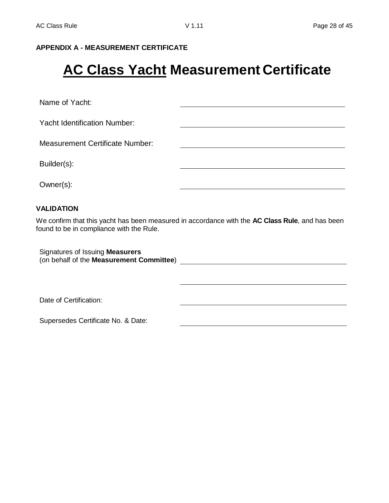# **APPENDIX A - MEASUREMENT CERTIFICATE**

# **AC Class Yacht Measurement Certificate**

Name of Yacht:

Yacht Identification Number:

Measurement Certificate Number:

Builder(s):

Owner(s):

#### **VALIDATION**

We confirm that this yacht has been measured in accordance with the **AC Class Rule**, and has been found to be in compliance with the Rule.

Signatures of Issuing **Measurers** (on behalf of the **Measurement Committee**)

Date of Certification:

Supersedes Certificate No. & Date: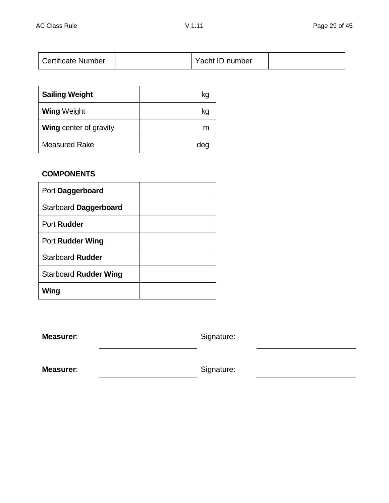| <b>Certificate Number</b> |  | Yacht ID number |  |
|---------------------------|--|-----------------|--|
|---------------------------|--|-----------------|--|

| <b>Sailing Weight</b>         | kq  |
|-------------------------------|-----|
| <b>Wing Weight</b>            | kg  |
| <b>Wing center of gravity</b> | m   |
| <b>Measured Rake</b>          | dec |

# **COMPONENTS**

| Port Daggerboard        |  |
|-------------------------|--|
| Starboard Daggerboard   |  |
| Port Rudder             |  |
| <b>Port Rudder Wing</b> |  |
| Starboard Rudder        |  |
| Starboard Rudder Wing   |  |
| Wing                    |  |

**Measurer:** Signature:

**Measurer:** Signature: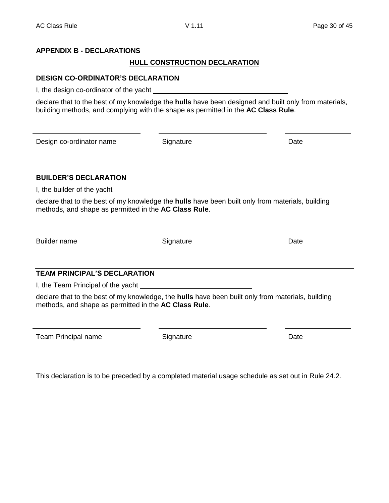# **APPENDIX B - DECLARATIONS**

# **HULL CONSTRUCTION DECLARATION**

# **DESIGN CO-ORDINATOR'S DECLARATION**

I, the design co-ordinator of the yacht

declare that to the best of my knowledge the **hulls** have been designed and built only from materials, building methods, and complying with the shape as permitted in the **AC Class Rule**.

Design co-ordinator name Signature Date

# **BUILDER'S DECLARATION**

I, the builder of the yacht

declare that to the best of my knowledge the **hulls** have been built only from materials, building methods, and shape as permitted in the **AC Class Rule**.

Builder name **Signature Signature Signature Signature Date** 

# **TEAM PRINCIPAL'S DECLARATION**

I, the Team Principal of the yacht

declare that to the best of my knowledge, the **hulls** have been built only from materials, building methods, and shape as permitted in the **AC Class Rule**.

Team Principal name **Signature** Signature **Date** Date

This declaration is to be preceded by a completed material usage schedule as set out in Rule 24.2.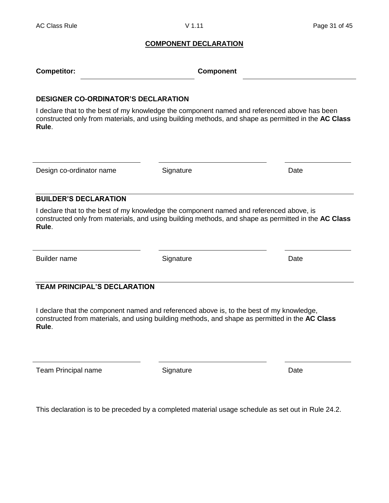#### **COMPONENT DECLARATION**

| <b>Competitor:</b> | <b>Component</b> |
|--------------------|------------------|
|--------------------|------------------|

#### **DESIGNER CO-ORDINATOR'S DECLARATION**

I declare that to the best of my knowledge the component named and referenced above has been constructed only from materials, and using building methods, and shape as permitted in the **AC Class Rule**.

Design co-ordinator name Signature Date

# **BUILDER'S DECLARATION**

I declare that to the best of my knowledge the component named and referenced above, is constructed only from materials, and using building methods, and shape as permitted in the **AC Class Rule**.

Builder name **Signature Contact System Contact Contact Contact Contact Contact Contact Contact Contact Contact Contact Contact Contact Contact Contact Contact Contact Contact Contact Contact Contact Contact Contact Conta** 

# **TEAM PRINCIPAL'S DECLARATION**

I declare that the component named and referenced above is, to the best of my knowledge, constructed from materials, and using building methods, and shape as permitted in the **AC Class Rule**.

Team Principal name **Signature** Signature **Date** Date

This declaration is to be preceded by a completed material usage schedule as set out in Rule 24.2.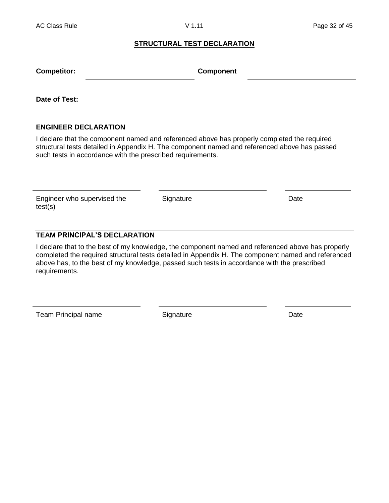#### **STRUCTURAL TEST DECLARATION**

| <b>Competitor:</b> | <b>Component</b> |  |
|--------------------|------------------|--|
|                    |                  |  |
| Date of Test:      |                  |  |

# **ENGINEER DECLARATION**

I declare that the component named and referenced above has properly completed the required structural tests detailed in Appendix H. The component named and referenced above has passed such tests in accordance with the prescribed requirements.

Engineer who supervised the test(s)

Signature Date

# **TEAM PRINCIPAL'S DECLARATION**

I declare that to the best of my knowledge, the component named and referenced above has properly completed the required structural tests detailed in Appendix H. The component named and referenced above has, to the best of my knowledge, passed such tests in accordance with the prescribed requirements.

Team Principal name Signature Signature Date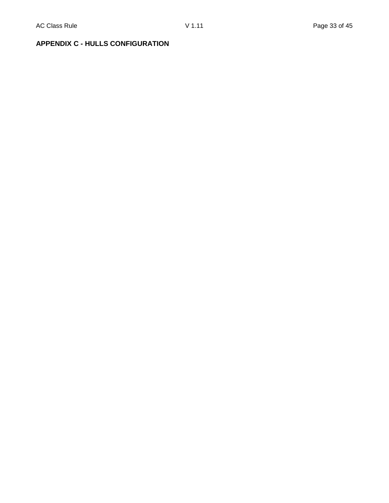# **APPENDIX C - HULLS CONFIGURATION**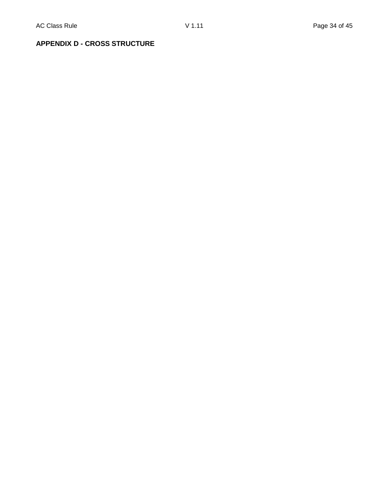# **APPENDIX D - CROSS STRUCTURE**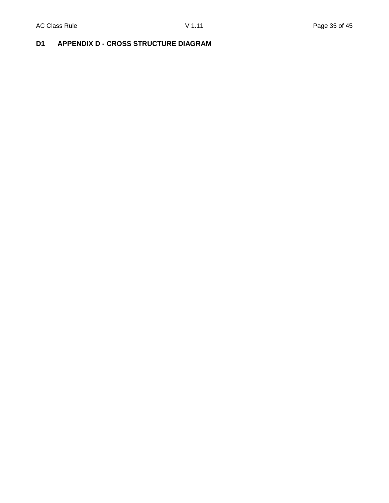# **D1 APPENDIX D - CROSS STRUCTURE DIAGRAM**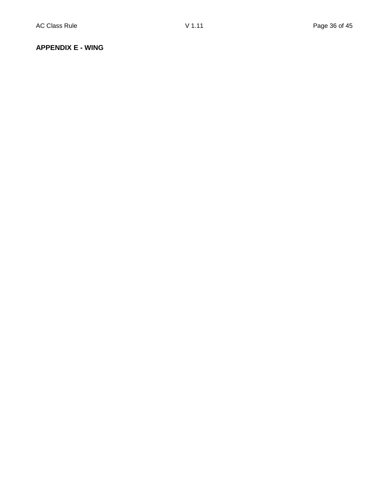#### **APPENDIX E - WING**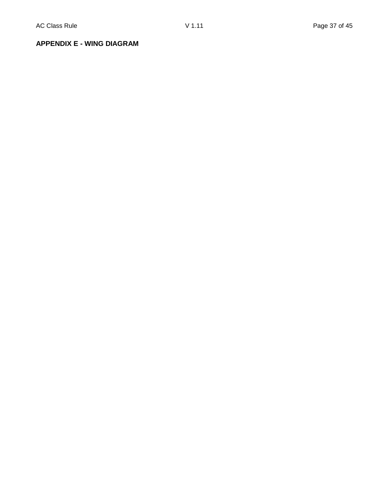**APPENDIX E - WING DIAGRAM**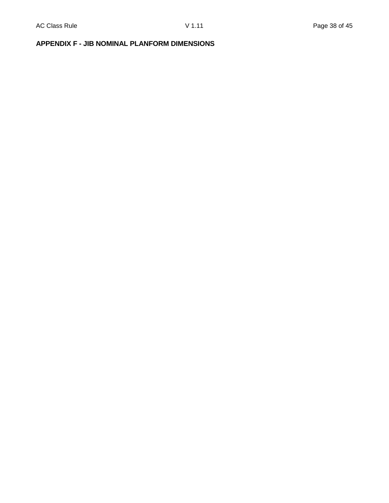# **APPENDIX F - JIB NOMINAL PLANFORM DIMENSIONS**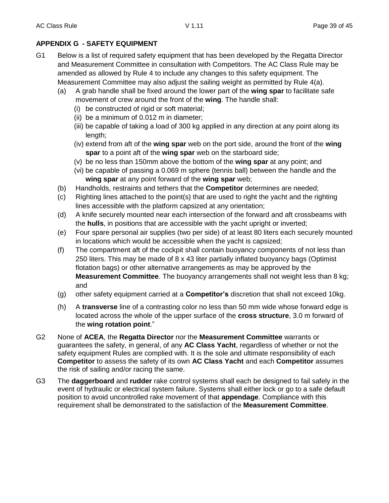# **APPENDIX G - SAFETY EQUIPMENT**

- G1 Below is a list of required safety equipment that has been developed by the Regatta Director and Measurement Committee in consultation with Competitors. The AC Class Rule may be amended as allowed by Rule 4 to include any changes to this safety equipment. The Measurement Committee may also adjust the sailing weight as permitted by Rule 4(a).
	- (a) A grab handle shall be fixed around the lower part of the **wing spar** to facilitate safe movement of crew around the front of the **wing**. The handle shall:
		- (i) be constructed of rigid or soft material;
		- (ii) be a minimum of 0.012 m in diameter;
		- (iii) be capable of taking a load of 300 kg applied in any direction at any point along its length;
		- (iv) extend from aft of the **wing spar** web on the port side, around the front of the **wing spar** to a point aft of the **wing spar** web on the starboard side;
		- (v) be no less than 150mm above the bottom of the **wing spar** at any point; and
		- (vi) be capable of passing a 0.069 m sphere (tennis ball) between the handle and the **wing spar** at any point forward of the **wing spar** web;
	- (b) Handholds, restraints and tethers that the **Competitor** determines are needed;
	- (c) Righting lines attached to the point(s) that are used to right the yacht and the righting lines accessible with the platform capsized at any orientation;
	- (d) A knife securely mounted near each intersection of the forward and aft crossbeams with the **hulls**, in positions that are accessible with the yacht upright or inverted;
	- (e) Four spare personal air supplies (two per side) of at least 80 liters each securely mounted in locations which would be accessible when the yacht is capsized;
	- (f) The compartment aft of the cockpit shall contain buoyancy components of not less than 250 liters. This may be made of 8 x 43 liter partially inflated buoyancy bags (Optimist flotation bags) or other alternative arrangements as may be approved by the **Measurement Committee**. The buoyancy arrangements shall not weight less than 8 kg; and
	- (g) other safety equipment carried at a **Competitor's** discretion that shall not exceed 10kg.
	- (h) A **transverse** line of a contrasting color no less than 50 mm wide whose forward edge is located across the whole of the upper surface of the **cross structure**, 3.0 m forward of the **wing rotation point**."
- G2 None of **ACEA**, the **Regatta Director** nor the **Measurement Committee** warrants or guarantees the safety, in general, of any **AC Class Yacht**, regardless of whether or not the safety equipment Rules are complied with. It is the sole and ultimate responsibility of each **Competitor** to assess the safety of its own **AC Class Yacht** and each **Competitor** assumes the risk of sailing and/or racing the same.
- G3 The **daggerboard** and **rudder** rake control systems shall each be designed to fail safely in the event of hydraulic or electrical system failure. Systems shall either lock or go to a safe default position to avoid uncontrolled rake movement of that **appendage**. Compliance with this requirement shall be demonstrated to the satisfaction of the **Measurement Committee**.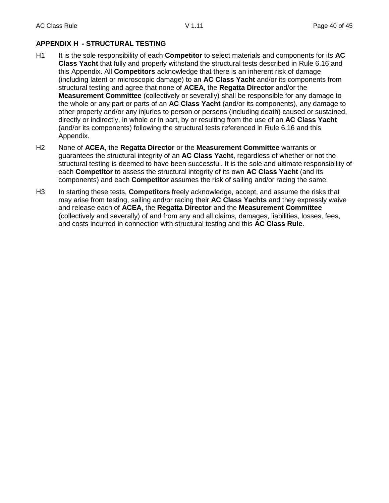# **APPENDIX H - STRUCTURAL TESTING**

- H1 It is the sole responsibility of each **Competitor** to select materials and components for its **AC Class Yacht** that fully and properly withstand the structural tests described in Rule 6.16 and this Appendix. All **Competitors** acknowledge that there is an inherent risk of damage (including latent or microscopic damage) to an **AC Class Yacht** and/or its components from structural testing and agree that none of **ACEA**, the **Regatta Director** and/or the **Measurement Committee** (collectively or severally) shall be responsible for any damage to the whole or any part or parts of an **AC Class Yacht** (and/or its components), any damage to other property and/or any injuries to person or persons (including death) caused or sustained, directly or indirectly, in whole or in part, by or resulting from the use of an **AC Class Yacht** (and/or its components) following the structural tests referenced in Rule 6.16 and this Appendix.
- H2 None of **ACEA**, the **Regatta Director** or the **Measurement Committee** warrants or guarantees the structural integrity of an **AC Class Yacht**, regardless of whether or not the structural testing is deemed to have been successful. It is the sole and ultimate responsibility of each **Competitor** to assess the structural integrity of its own **AC Class Yacht** (and its components) and each **Competitor** assumes the risk of sailing and/or racing the same.
- H3 In starting these tests, **Competitors** freely acknowledge, accept, and assume the risks that may arise from testing, sailing and/or racing their **AC Class Yachts** and they expressly waive and release each of **ACEA**, the **Regatta Director** and the **Measurement Committee** (collectively and severally) of and from any and all claims, damages, liabilities, losses, fees, and costs incurred in connection with structural testing and this **AC Class Rule**.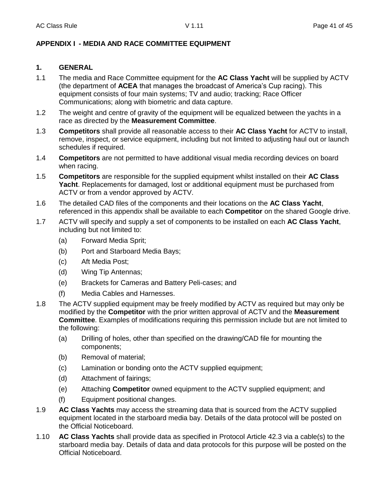# **APPENDIX I - MEDIA AND RACE COMMITTEE EQUIPMENT**

# **1. GENERAL**

- 1.1 The media and Race Committee equipment for the **AC Class Yacht** will be supplied by ACTV (the department of **ACEA** that manages the broadcast of America's Cup racing). This equipment consists of four main systems; TV and audio; tracking; Race Officer Communications; along with biometric and data capture.
- 1.2 The weight and centre of gravity of the equipment will be equalized between the yachts in a race as directed by the **Measurement Committee**.
- 1.3 **Competitors** shall provide all reasonable access to their **AC Class Yacht** for ACTV to install, remove, inspect, or service equipment, including but not limited to adjusting haul out or launch schedules if required.
- 1.4 **Competitors** are not permitted to have additional visual media recording devices on board when racing.
- 1.5 **Competitors** are responsible for the supplied equipment whilst installed on their **AC Class Yacht**. Replacements for damaged, lost or additional equipment must be purchased from ACTV or from a vendor approved by ACTV.
- 1.6 The detailed CAD files of the components and their locations on the **AC Class Yacht**, referenced in this appendix shall be available to each **Competitor** on the shared Google drive.
- 1.7 ACTV will specify and supply a set of components to be installed on each **AC Class Yacht**, including but not limited to:
	- (a) Forward Media Sprit;
	- (b) Port and Starboard Media Bays;
	- (c) Aft Media Post;
	- (d) Wing Tip Antennas;
	- (e) Brackets for Cameras and Battery Peli-cases; and
	- (f) Media Cables and Harnesses.
- 1.8 The ACTV supplied equipment may be freely modified by ACTV as required but may only be modified by the **Competitor** with the prior written approval of ACTV and the **Measurement Committee**. Examples of modifications requiring this permission include but are not limited to the following:
	- (a) Drilling of holes, other than specified on the drawing/CAD file for mounting the components;
	- (b) Removal of material;
	- (c) Lamination or bonding onto the ACTV supplied equipment;
	- (d) Attachment of fairings;
	- (e) Attaching **Competitor** owned equipment to the ACTV supplied equipment; and
	- (f) Equipment positional changes.
- 1.9 **AC Class Yachts** may access the streaming data that is sourced from the ACTV supplied equipment located in the starboard media bay. Details of the data protocol will be posted on the Official Noticeboard.
- 1.10 **AC Class Yachts** shall provide data as specified in Protocol Article 42.3 via a cable(s) to the starboard media bay. Details of data and data protocols for this purpose will be posted on the Official Noticeboard.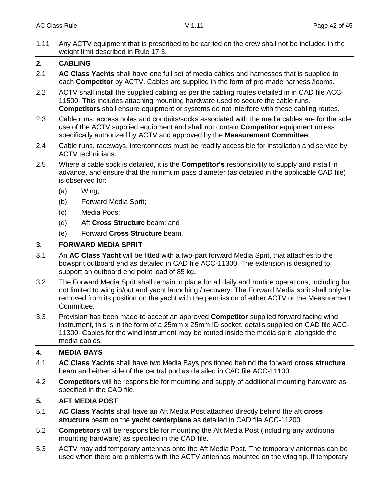1.11 Any ACTV equipment that is prescribed to be carried on the crew shall not be included in the weight limit described in Rule 17.3.

# **2. CABLING**

- 2.1 **AC Class Yachts** shall have one full set of media cables and harnesses that is supplied to each **Competitor** by ACTV. Cables are supplied in the form of pre-made harness /looms.
- 2.2 ACTV shall install the supplied cabling as per the cabling routes detailed in in CAD file ACC-11500. This includes attaching mounting hardware used to secure the cable runs. **Competitors** shall ensure equipment or systems do not interfere with these cabling routes.
- 2.3 Cable runs, access holes and conduits/socks associated with the media cables are for the sole use of the ACTV supplied equipment and shall not contain **Competitor** equipment unless specifically authorized by ACTV and approved by the **Measurement Committee**.
- 2.4 Cable runs, raceways, interconnects must be readily accessible for installation and service by ACTV technicians.
- 2.5 Where a cable sock is detailed, it is the **Competitor's** responsibility to supply and install in advance, and ensure that the minimum pass diameter (as detailed in the applicable CAD file) is observed for:
	- (a) Wing;
	- (b) Forward Media Sprit;
	- (c) Media Pods;
	- (d) Aft **Cross Structure** beam; and
	- (e) Forward **Cross Structure** beam.

# **3. FORWARD MEDIA SPRIT**

- 3.1 An **AC Class Yacht** will be fitted with a two-part forward Media Sprit, that attaches to the bowsprit outboard end as detailed in CAD file ACC-11300. The extension is designed to support an outboard end point load of 85 kg.
- 3.2 The Forward Media Sprit shall remain in place for all daily and routine operations, including but not limited to wing in/out and yacht launching / recovery. The Forward Media sprit shall only be removed from its position on the yacht with the permission of either ACTV or the Measurement Committee.
- 3.3 Provision has been made to accept an approved **Competitor** supplied forward facing wind instrument, this is in the form of a 25mm x 25mm ID socket, details supplied on CAD file ACC-11300. Cables for the wind instrument may be routed inside the media sprit, alongside the media cables.

# **4. MEDIA BAYS**

- 4.1 **AC Class Yachts** shall have two Media Bays positioned behind the forward **cross structure** beam and either side of the central pod as detailed in CAD file ACC-11100.
- 4.2 **Competitors** will be responsible for mounting and supply of additional mounting hardware as specified in the CAD file.

# **5. AFT MEDIA POST**

- 5.1 **AC Class Yachts** shall have an Aft Media Post attached directly behind the aft **cross structure** beam on the **yacht centerplane** as detailed in CAD file ACC-11200.
- 5.2 **Competitors** will be responsible for mounting the Aft Media Post (including any additional mounting hardware) as specified in the CAD file.
- 5.3 ACTV may add temporary antennas onto the Aft Media Post. The temporary antennas can be used when there are problems with the ACTV antennas mounted on the wing tip. If temporary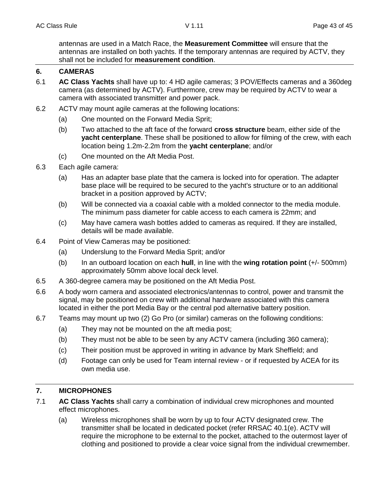antennas are used in a Match Race, the **Measurement Committee** will ensure that the antennas are installed on both yachts. If the temporary antennas are required by ACTV, they shall not be included for **measurement condition**.

# **6. CAMERAS**

- 6.1 **AC Class Yachts** shall have up to: 4 HD agile cameras; 3 POV/Effects cameras and a 360deg camera (as determined by ACTV). Furthermore, crew may be required by ACTV to wear a camera with associated transmitter and power pack.
- 6.2 ACTV may mount agile cameras at the following locations:
	- (a) One mounted on the Forward Media Sprit;
	- (b) Two attached to the aft face of the forward **cross structure** beam, either side of the **yacht centerplane**. These shall be positioned to allow for filming of the crew, with each location being 1.2m-2.2m from the **yacht centerplane**; and/or
	- (c) One mounted on the Aft Media Post.
- 6.3 Each agile camera:
	- (a) Has an adapter base plate that the camera is locked into for operation. The adapter base place will be required to be secured to the yacht's structure or to an additional bracket in a position approved by ACTV;
	- (b) Will be connected via a coaxial cable with a molded connector to the media module. The minimum pass diameter for cable access to each camera is 22mm; and
	- (c) May have camera wash bottles added to cameras as required. If they are installed, details will be made available.
- 6.4 Point of View Cameras may be positioned:
	- (a) Underslung to the Forward Media Sprit; and/or
	- (b) In an outboard location on each **hull**, in line with the **wing rotation point** (+/- 500mm) approximately 50mm above local deck level.
- 6.5 A 360-degree camera may be positioned on the Aft Media Post.
- 6.6 A body worn camera and associated electronics/antennas to control, power and transmit the signal, may be positioned on crew with additional hardware associated with this camera located in either the port Media Bay or the central pod alternative battery position.
- 6.7 Teams may mount up two (2) Go Pro (or similar) cameras on the following conditions:
	- (a) They may not be mounted on the aft media post;
	- (b) They must not be able to be seen by any ACTV camera (including 360 camera);
	- (c) Their position must be approved in writing in advance by Mark Sheffield; and
	- (d) Footage can only be used for Team internal review or if requested by ACEA for its own media use.

# **7. MICROPHONES**

- 7.1 **AC Class Yachts** shall carry a combination of individual crew microphones and mounted effect microphones.
	- (a) Wireless microphones shall be worn by up to four ACTV designated crew. The transmitter shall be located in dedicated pocket (refer RRSAC 40.1(e). ACTV will require the microphone to be external to the pocket, attached to the outermost layer of clothing and positioned to provide a clear voice signal from the individual crewmember.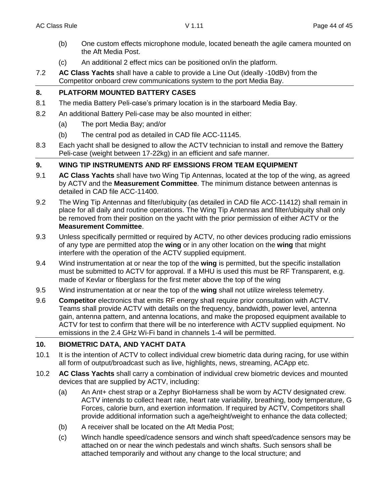- (b) One custom effects microphone module, located beneath the agile camera mounted on the Aft Media Post.
- (c) An additional 2 effect mics can be positioned on/in the platform.
- 7.2 **AC Class Yachts** shall have a cable to provide a Line Out (ideally -10dBv) from the Competitor onboard crew communications system to the port Media Bay.

# **8. PLATFORM MOUNTED BATTERY CASES**

- 8.1 The media Battery Peli-case's primary location is in the starboard Media Bay.
- 8.2 An additional Battery Peli-case may be also mounted in either:
	- (a) The port Media Bay; and/or
	- (b) The central pod as detailed in CAD file ACC-11145.
- 8.3 Each yacht shall be designed to allow the ACTV technician to install and remove the Battery Peli-case (weight between 17-22kg) in an efficient and safe manner.

# **9. WING TIP INSTRUMENTS AND RF EMSSIONS FROM TEAM EQUIPMENT**

- 9.1 **AC Class Yachts** shall have two Wing Tip Antennas, located at the top of the wing, as agreed by ACTV and the **Measurement Committee**. The minimum distance between antennas is detailed in CAD file ACC-11400.
- 9.2 The Wing Tip Antennas and filter/ubiquity (as detailed in CAD file ACC-11412) shall remain in place for all daily and routine operations. The Wing Tip Antennas and filter/ubiquity shall only be removed from their position on the yacht with the prior permission of either ACTV or the **Measurement Committee**.
- 9.3 Unless specifically permitted or required by ACTV, no other devices producing radio emissions of any type are permitted atop the **wing** or in any other location on the **wing** that might interfere with the operation of the ACTV supplied equipment.
- 9.4 Wind instrumentation at or near the top of the **wing** is permitted, but the specific installation must be submitted to ACTV for approval. If a MHU is used this must be RF Transparent, e.g. made of Kevlar or fiberglass for the first meter above the top of the wing
- 9.5 Wind instrumentation at or near the top of the **wing** shall not utilize wireless telemetry.
- 9.6 **Competitor** electronics that emits RF energy shall require prior consultation with ACTV. Teams shall provide ACTV with details on the frequency, bandwidth, power level, antenna gain, antenna pattern, and antenna locations, and make the proposed equipment available to ACTV for test to confirm that there will be no interference with ACTV supplied equipment. No emissions in the 2.4 GHz Wi-Fi band in channels 1-4 will be permitted.

# **10. BIOMETRIC DATA, AND YACHT DATA**

- 10.1 It is the intention of ACTV to collect individual crew biometric data during racing, for use within all form of output/broadcast such as live, highlights, news, streaming, ACApp etc.
- 10.2 **AC Class Yachts** shall carry a combination of individual crew biometric devices and mounted devices that are supplied by ACTV, including:
	- (a) An Ant+ chest strap or a Zephyr BioHarness shall be worn by ACTV designated crew. ACTV intends to collect heart rate, heart rate variability, breathing, body temperature, G Forces, calorie burn, and exertion information. If required by ACTV, Competitors shall provide additional information such a age/height/weight to enhance the data collected;
	- (b) A receiver shall be located on the Aft Media Post;
	- (c) Winch handle speed/cadence sensors and winch shaft speed/cadence sensors may be attached on or near the winch pedestals and winch shafts. Such sensors shall be attached temporarily and without any change to the local structure; and